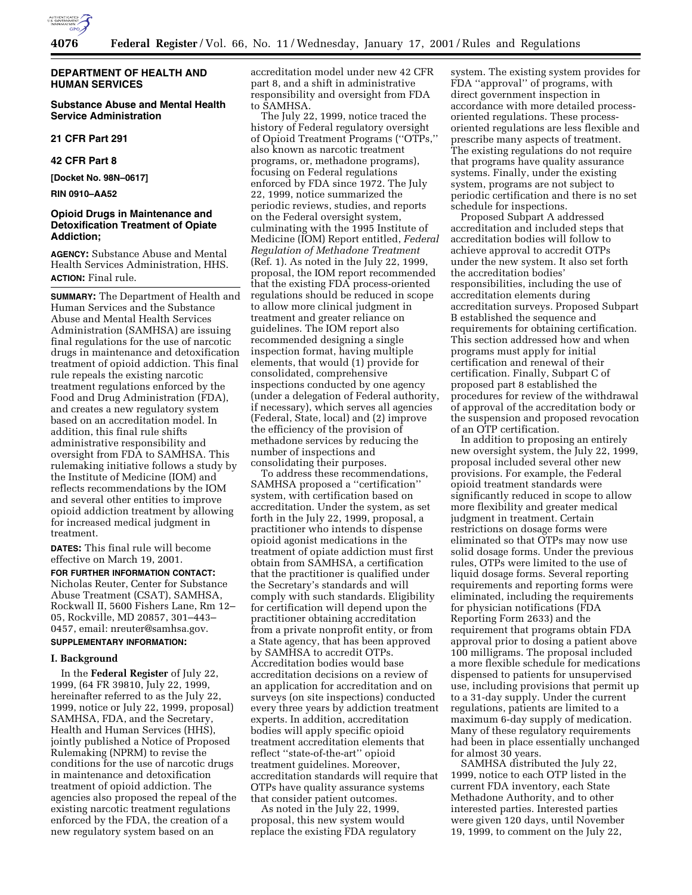

# **DEPARTMENT OF HEALTH AND HUMAN SERVICES**

**Substance Abuse and Mental Health Service Administration**

**21 CFR Part 291**

**42 CFR Part 8**

**[Docket No. 98N–0617]**

**RIN 0910–AA52**

# **Opioid Drugs in Maintenance and Detoxification Treatment of Opiate Addiction;**

**AGENCY:** Substance Abuse and Mental Health Services Administration, HHS. **ACTION:** Final rule.

**SUMMARY:** The Department of Health and Human Services and the Substance Abuse and Mental Health Services Administration (SAMHSA) are issuing final regulations for the use of narcotic drugs in maintenance and detoxification treatment of opioid addiction. This final rule repeals the existing narcotic treatment regulations enforced by the Food and Drug Administration (FDA), and creates a new regulatory system based on an accreditation model. In addition, this final rule shifts administrative responsibility and oversight from FDA to SAMHSA. This rulemaking initiative follows a study by the Institute of Medicine (IOM) and reflects recommendations by the IOM and several other entities to improve opioid addiction treatment by allowing for increased medical judgment in treatment.

**DATES:** This final rule will become effective on March 19, 2001.

**FOR FURTHER INFORMATION CONTACT:** Nicholas Reuter, Center for Substance Abuse Treatment (CSAT), SAMHSA, Rockwall II, 5600 Fishers Lane, Rm 12– 05, Rockville, MD 20857, 301–443– 0457, email: nreuter@samhsa.gov. **SUPPLEMENTARY INFORMATION:**

## **I. Background**

In the **Federal Register** of July 22, 1999, (64 FR 39810, July 22, 1999, hereinafter referred to as the July 22, 1999, notice or July 22, 1999, proposal) SAMHSA, FDA, and the Secretary, Health and Human Services (HHS), jointly published a Notice of Proposed Rulemaking (NPRM) to revise the conditions for the use of narcotic drugs in maintenance and detoxification treatment of opioid addiction. The agencies also proposed the repeal of the existing narcotic treatment regulations enforced by the FDA, the creation of a new regulatory system based on an

accreditation model under new 42 CFR part 8, and a shift in administrative responsibility and oversight from FDA to SAMHSA.

The July 22, 1999, notice traced the history of Federal regulatory oversight of Opioid Treatment Programs (''OTPs,'' also known as narcotic treatment programs, or, methadone programs), focusing on Federal regulations enforced by FDA since 1972. The July 22, 1999, notice summarized the periodic reviews, studies, and reports on the Federal oversight system, culminating with the 1995 Institute of Medicine (IOM) Report entitled, *Federal Regulation of Methadone Treatment* (Ref. 1). As noted in the July 22, 1999, proposal, the IOM report recommended that the existing FDA process-oriented regulations should be reduced in scope to allow more clinical judgment in treatment and greater reliance on guidelines. The IOM report also recommended designing a single inspection format, having multiple elements, that would (1) provide for consolidated, comprehensive inspections conducted by one agency (under a delegation of Federal authority, if necessary), which serves all agencies (Federal, State, local) and (2) improve the efficiency of the provision of methadone services by reducing the number of inspections and consolidating their purposes.

To address these recommendations, SAMHSA proposed a ''certification'' system, with certification based on accreditation. Under the system, as set forth in the July 22, 1999, proposal, a practitioner who intends to dispense opioid agonist medications in the treatment of opiate addiction must first obtain from SAMHSA, a certification that the practitioner is qualified under the Secretary's standards and will comply with such standards. Eligibility for certification will depend upon the practitioner obtaining accreditation from a private nonprofit entity, or from a State agency, that has been approved by SAMHSA to accredit OTPs. Accreditation bodies would base accreditation decisions on a review of an application for accreditation and on surveys (on site inspections) conducted every three years by addiction treatment experts. In addition, accreditation bodies will apply specific opioid treatment accreditation elements that reflect ''state-of-the-art'' opioid treatment guidelines. Moreover, accreditation standards will require that OTPs have quality assurance systems that consider patient outcomes.

As noted in the July 22, 1999, proposal, this new system would replace the existing FDA regulatory

system. The existing system provides for FDA ''approval'' of programs, with direct government inspection in accordance with more detailed processoriented regulations. These processoriented regulations are less flexible and prescribe many aspects of treatment. The existing regulations do not require that programs have quality assurance systems. Finally, under the existing system, programs are not subject to periodic certification and there is no set schedule for inspections.

Proposed Subpart A addressed accreditation and included steps that accreditation bodies will follow to achieve approval to accredit OTPs under the new system. It also set forth the accreditation bodies' responsibilities, including the use of accreditation elements during accreditation surveys. Proposed Subpart B established the sequence and requirements for obtaining certification. This section addressed how and when programs must apply for initial certification and renewal of their certification. Finally, Subpart C of proposed part 8 established the procedures for review of the withdrawal of approval of the accreditation body or the suspension and proposed revocation of an OTP certification.

In addition to proposing an entirely new oversight system, the July 22, 1999, proposal included several other new provisions. For example, the Federal opioid treatment standards were significantly reduced in scope to allow more flexibility and greater medical judgment in treatment. Certain restrictions on dosage forms were eliminated so that OTPs may now use solid dosage forms. Under the previous rules, OTPs were limited to the use of liquid dosage forms. Several reporting requirements and reporting forms were eliminated, including the requirements for physician notifications (FDA Reporting Form 2633) and the requirement that programs obtain FDA approval prior to dosing a patient above 100 milligrams. The proposal included a more flexible schedule for medications dispensed to patients for unsupervised use, including provisions that permit up to a 31-day supply. Under the current regulations, patients are limited to a maximum 6-day supply of medication. Many of these regulatory requirements had been in place essentially unchanged for almost 30 years.

SAMHSA distributed the July 22, 1999, notice to each OTP listed in the current FDA inventory, each State Methadone Authority, and to other interested parties. Interested parties were given 120 days, until November 19, 1999, to comment on the July 22,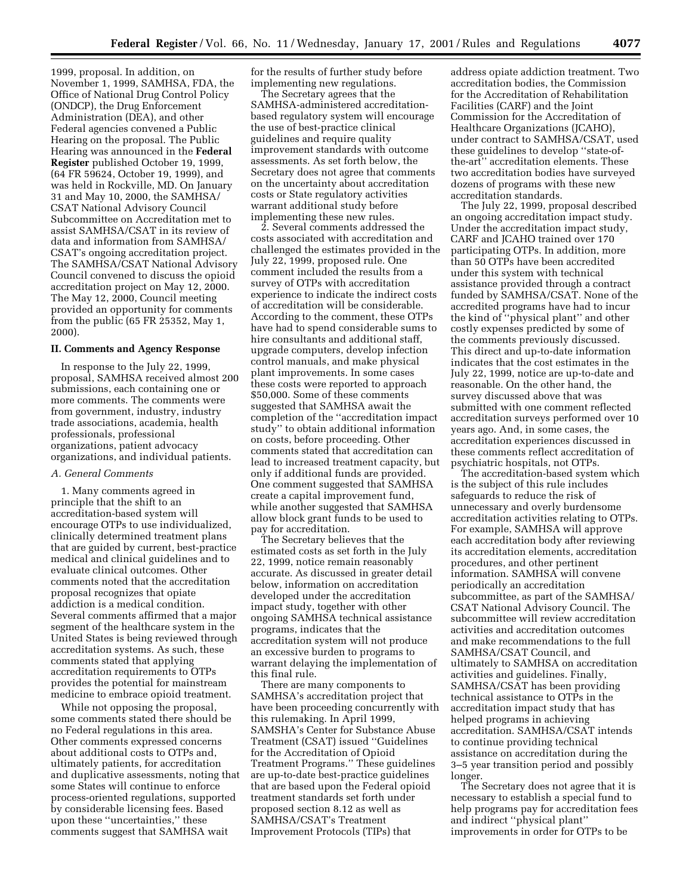1999, proposal. In addition, on November 1, 1999, SAMHSA, FDA, the Office of National Drug Control Policy (ONDCP), the Drug Enforcement Administration (DEA), and other Federal agencies convened a Public Hearing on the proposal. The Public Hearing was announced in the **Federal Register** published October 19, 1999, (64 FR 59624, October 19, 1999), and was held in Rockville, MD. On January 31 and May 10, 2000, the SAMHSA/ CSAT National Advisory Council Subcommittee on Accreditation met to assist SAMHSA/CSAT in its review of data and information from SAMHSA/ CSAT's ongoing accreditation project. The SAMHSA/CSAT National Advisory Council convened to discuss the opioid accreditation project on May 12, 2000. The May 12, 2000, Council meeting provided an opportunity for comments from the public (65 FR 25352, May 1, 2000).

## **II. Comments and Agency Response**

In response to the July 22, 1999, proposal, SAMHSA received almost 200 submissions, each containing one or more comments. The comments were from government, industry, industry trade associations, academia, health professionals, professional organizations, patient advocacy organizations, and individual patients.

# *A. General Comments*

1. Many comments agreed in principle that the shift to an accreditation-based system will encourage OTPs to use individualized, clinically determined treatment plans that are guided by current, best-practice medical and clinical guidelines and to evaluate clinical outcomes. Other comments noted that the accreditation proposal recognizes that opiate addiction is a medical condition. Several comments affirmed that a major segment of the healthcare system in the United States is being reviewed through accreditation systems. As such, these comments stated that applying accreditation requirements to OTPs provides the potential for mainstream medicine to embrace opioid treatment.

While not opposing the proposal, some comments stated there should be no Federal regulations in this area. Other comments expressed concerns about additional costs to OTPs and, ultimately patients, for accreditation and duplicative assessments, noting that some States will continue to enforce process-oriented regulations, supported by considerable licensing fees. Based upon these ''uncertainties,'' these comments suggest that SAMHSA wait

for the results of further study before implementing new regulations.

The Secretary agrees that the SAMHSA-administered accreditationbased regulatory system will encourage the use of best-practice clinical guidelines and require quality improvement standards with outcome assessments. As set forth below, the Secretary does not agree that comments on the uncertainty about accreditation costs or State regulatory activities warrant additional study before implementing these new rules.

2. Several comments addressed the costs associated with accreditation and challenged the estimates provided in the July 22, 1999, proposed rule. One comment included the results from a survey of OTPs with accreditation experience to indicate the indirect costs of accreditation will be considerable. According to the comment, these OTPs have had to spend considerable sums to hire consultants and additional staff, upgrade computers, develop infection control manuals, and make physical plant improvements. In some cases these costs were reported to approach \$50,000. Some of these comments suggested that SAMHSA await the completion of the ''accreditation impact study'' to obtain additional information on costs, before proceeding. Other comments stated that accreditation can lead to increased treatment capacity, but only if additional funds are provided. One comment suggested that SAMHSA create a capital improvement fund, while another suggested that SAMHSA allow block grant funds to be used to pay for accreditation.

The Secretary believes that the estimated costs as set forth in the July 22, 1999, notice remain reasonably accurate. As discussed in greater detail below, information on accreditation developed under the accreditation impact study, together with other ongoing SAMHSA technical assistance programs, indicates that the accreditation system will not produce an excessive burden to programs to warrant delaying the implementation of this final rule.

There are many components to SAMHSA's accreditation project that have been proceeding concurrently with this rulemaking. In April 1999, SAMSHA's Center for Substance Abuse Treatment (CSAT) issued ''Guidelines for the Accreditation of Opioid Treatment Programs.'' These guidelines are up-to-date best-practice guidelines that are based upon the Federal opioid treatment standards set forth under proposed section 8.12 as well as SAMHSA/CSAT's Treatment Improvement Protocols (TIPs) that

address opiate addiction treatment. Two accreditation bodies, the Commission for the Accreditation of Rehabilitation Facilities (CARF) and the Joint Commission for the Accreditation of Healthcare Organizations (JCAHO), under contract to SAMHSA/CSAT, used these guidelines to develop ''state-ofthe-art'' accreditation elements. These two accreditation bodies have surveyed dozens of programs with these new accreditation standards.

The July 22, 1999, proposal described an ongoing accreditation impact study. Under the accreditation impact study, CARF and JCAHO trained over 170 participating OTPs. In addition, more than 50 OTPs have been accredited under this system with technical assistance provided through a contract funded by SAMHSA/CSAT. None of the accredited programs have had to incur the kind of ''physical plant'' and other costly expenses predicted by some of the comments previously discussed. This direct and up-to-date information indicates that the cost estimates in the July 22, 1999, notice are up-to-date and reasonable. On the other hand, the survey discussed above that was submitted with one comment reflected accreditation surveys performed over 10 years ago. And, in some cases, the accreditation experiences discussed in these comments reflect accreditation of psychiatric hospitals, not OTPs.

The accreditation-based system which is the subject of this rule includes safeguards to reduce the risk of unnecessary and overly burdensome accreditation activities relating to OTPs. For example, SAMHSA will approve each accreditation body after reviewing its accreditation elements, accreditation procedures, and other pertinent information. SAMHSA will convene periodically an accreditation subcommittee, as part of the SAMHSA/ CSAT National Advisory Council. The subcommittee will review accreditation activities and accreditation outcomes and make recommendations to the full SAMHSA/CSAT Council, and ultimately to SAMHSA on accreditation activities and guidelines. Finally, SAMHSA/CSAT has been providing technical assistance to OTPs in the accreditation impact study that has helped programs in achieving accreditation. SAMHSA/CSAT intends to continue providing technical assistance on accreditation during the 3–5 year transition period and possibly longer.

The Secretary does not agree that it is necessary to establish a special fund to help programs pay for accreditation fees and indirect ''physical plant'' improvements in order for OTPs to be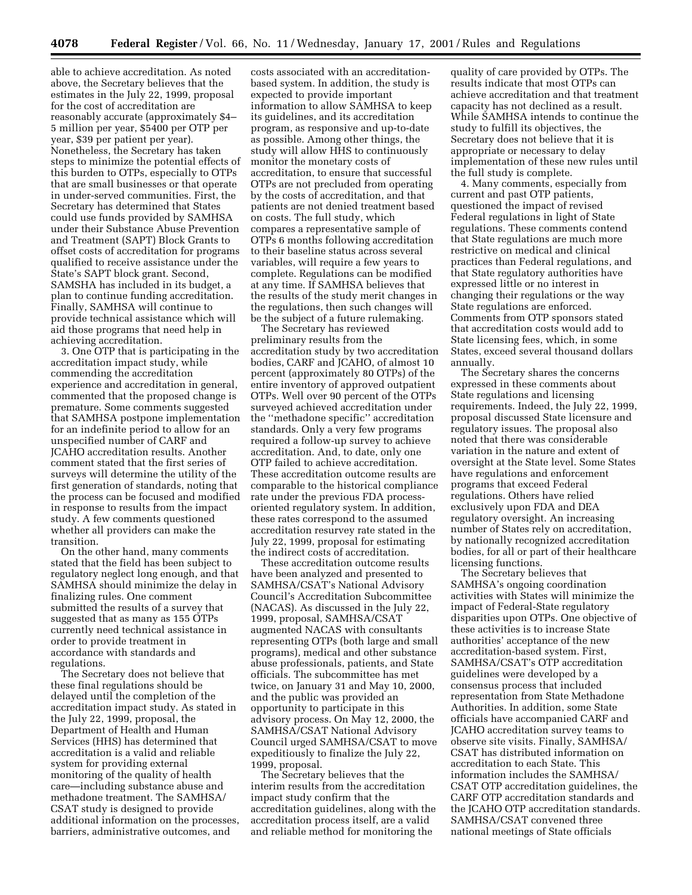able to achieve accreditation. As noted above, the Secretary believes that the estimates in the July 22, 1999, proposal for the cost of accreditation are reasonably accurate (approximately \$4– 5 million per year, \$5400 per OTP per year, \$39 per patient per year). Nonetheless, the Secretary has taken steps to minimize the potential effects of this burden to OTPs, especially to OTPs that are small businesses or that operate in under-served communities. First, the Secretary has determined that States could use funds provided by SAMHSA under their Substance Abuse Prevention and Treatment (SAPT) Block Grants to offset costs of accreditation for programs qualified to receive assistance under the State's SAPT block grant. Second, SAMSHA has included in its budget, a plan to continue funding accreditation. Finally, SAMHSA will continue to provide technical assistance which will aid those programs that need help in achieving accreditation.

3. One OTP that is participating in the accreditation impact study, while commending the accreditation experience and accreditation in general, commented that the proposed change is premature. Some comments suggested that SAMHSA postpone implementation for an indefinite period to allow for an unspecified number of CARF and JCAHO accreditation results. Another comment stated that the first series of surveys will determine the utility of the first generation of standards, noting that the process can be focused and modified in response to results from the impact study. A few comments questioned whether all providers can make the transition.

On the other hand, many comments stated that the field has been subject to regulatory neglect long enough, and that SAMHSA should minimize the delay in finalizing rules. One comment submitted the results of a survey that suggested that as many as 155 OTPs currently need technical assistance in order to provide treatment in accordance with standards and regulations.

The Secretary does not believe that these final regulations should be delayed until the completion of the accreditation impact study. As stated in the July 22, 1999, proposal, the Department of Health and Human Services (HHS) has determined that accreditation is a valid and reliable system for providing external monitoring of the quality of health care—including substance abuse and methadone treatment. The SAMHSA/ CSAT study is designed to provide additional information on the processes, barriers, administrative outcomes, and

costs associated with an accreditationbased system. In addition, the study is expected to provide important information to allow SAMHSA to keep its guidelines, and its accreditation program, as responsive and up-to-date as possible. Among other things, the study will allow HHS to continuously monitor the monetary costs of accreditation, to ensure that successful OTPs are not precluded from operating by the costs of accreditation, and that patients are not denied treatment based on costs. The full study, which compares a representative sample of OTPs 6 months following accreditation to their baseline status across several variables, will require a few years to complete. Regulations can be modified at any time. If SAMHSA believes that the results of the study merit changes in the regulations, then such changes will be the subject of a future rulemaking.

The Secretary has reviewed preliminary results from the accreditation study by two accreditation bodies, CARF and JCAHO, of almost 10 percent (approximately 80 OTPs) of the entire inventory of approved outpatient OTPs. Well over 90 percent of the OTPs surveyed achieved accreditation under the ''methadone specific'' accreditation standards. Only a very few programs required a follow-up survey to achieve accreditation. And, to date, only one OTP failed to achieve accreditation. These accreditation outcome results are comparable to the historical compliance rate under the previous FDA processoriented regulatory system. In addition, these rates correspond to the assumed accreditation resurvey rate stated in the July 22, 1999, proposal for estimating the indirect costs of accreditation.

These accreditation outcome results have been analyzed and presented to SAMHSA/CSAT's National Advisory Council's Accreditation Subcommittee (NACAS). As discussed in the July 22, 1999, proposal, SAMHSA/CSAT augmented NACAS with consultants representing OTPs (both large and small programs), medical and other substance abuse professionals, patients, and State officials. The subcommittee has met twice, on January 31 and May 10, 2000, and the public was provided an opportunity to participate in this advisory process. On May 12, 2000, the SAMHSA/CSAT National Advisory Council urged SAMHSA/CSAT to move expeditiously to finalize the July 22, 1999, proposal.

The Secretary believes that the interim results from the accreditation impact study confirm that the accreditation guidelines, along with the accreditation process itself, are a valid and reliable method for monitoring the

quality of care provided by OTPs. The results indicate that most OTPs can achieve accreditation and that treatment capacity has not declined as a result. While SAMHSA intends to continue the study to fulfill its objectives, the Secretary does not believe that it is appropriate or necessary to delay implementation of these new rules until the full study is complete.

4. Many comments, especially from current and past OTP patients, questioned the impact of revised Federal regulations in light of State regulations. These comments contend that State regulations are much more restrictive on medical and clinical practices than Federal regulations, and that State regulatory authorities have expressed little or no interest in changing their regulations or the way State regulations are enforced. Comments from OTP sponsors stated that accreditation costs would add to State licensing fees, which, in some States, exceed several thousand dollars annually.

The Secretary shares the concerns expressed in these comments about State regulations and licensing requirements. Indeed, the July 22, 1999, proposal discussed State licensure and regulatory issues. The proposal also noted that there was considerable variation in the nature and extent of oversight at the State level. Some States have regulations and enforcement programs that exceed Federal regulations. Others have relied exclusively upon FDA and DEA regulatory oversight. An increasing number of States rely on accreditation, by nationally recognized accreditation bodies, for all or part of their healthcare licensing functions.

The Secretary believes that SAMHSA's ongoing coordination activities with States will minimize the impact of Federal-State regulatory disparities upon OTPs. One objective of these activities is to increase State authorities' acceptance of the new accreditation-based system. First, SAMHSA/CSAT's OTP accreditation guidelines were developed by a consensus process that included representation from State Methadone Authorities. In addition, some State officials have accompanied CARF and JCAHO accreditation survey teams to observe site visits. Finally, SAMHSA/ CSAT has distributed information on accreditation to each State. This information includes the SAMHSA/ CSAT OTP accreditation guidelines, the CARF OTP accreditation standards and the JCAHO OTP accreditation standards. SAMHSA/CSAT convened three national meetings of State officials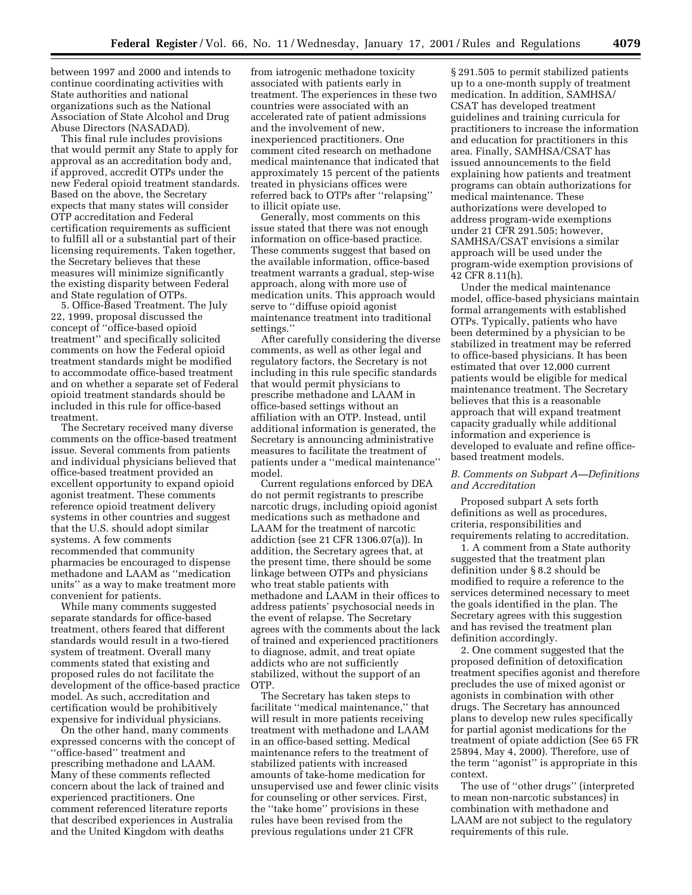between 1997 and 2000 and intends to continue coordinating activities with State authorities and national organizations such as the National Association of State Alcohol and Drug Abuse Directors (NASADAD).

This final rule includes provisions that would permit any State to apply for approval as an accreditation body and, if approved, accredit OTPs under the new Federal opioid treatment standards. Based on the above, the Secretary expects that many states will consider OTP accreditation and Federal certification requirements as sufficient to fulfill all or a substantial part of their licensing requirements. Taken together, the Secretary believes that these measures will minimize significantly the existing disparity between Federal and State regulation of OTPs.

5. Office-Based Treatment. The July 22, 1999, proposal discussed the concept of ''office-based opioid treatment'' and specifically solicited comments on how the Federal opioid treatment standards might be modified to accommodate office-based treatment and on whether a separate set of Federal opioid treatment standards should be included in this rule for office-based treatment.

The Secretary received many diverse comments on the office-based treatment issue. Several comments from patients and individual physicians believed that office-based treatment provided an excellent opportunity to expand opioid agonist treatment. These comments reference opioid treatment delivery systems in other countries and suggest that the U.S. should adopt similar systems. A few comments recommended that community pharmacies be encouraged to dispense methadone and LAAM as ''medication units'' as a way to make treatment more convenient for patients.

While many comments suggested separate standards for office-based treatment, others feared that different standards would result in a two-tiered system of treatment. Overall many comments stated that existing and proposed rules do not facilitate the development of the office-based practice model. As such, accreditation and certification would be prohibitively expensive for individual physicians.

On the other hand, many comments expressed concerns with the concept of ''office-based'' treatment and prescribing methadone and LAAM. Many of these comments reflected concern about the lack of trained and experienced practitioners. One comment referenced literature reports that described experiences in Australia and the United Kingdom with deaths

from iatrogenic methadone toxicity associated with patients early in treatment. The experiences in these two countries were associated with an accelerated rate of patient admissions and the involvement of new, inexperienced practitioners. One comment cited research on methadone medical maintenance that indicated that approximately 15 percent of the patients treated in physicians offices were referred back to OTPs after ''relapsing'' to illicit opiate use.

Generally, most comments on this issue stated that there was not enough information on office-based practice. These comments suggest that based on the available information, office-based treatment warrants a gradual, step-wise approach, along with more use of medication units. This approach would serve to ''diffuse opioid agonist maintenance treatment into traditional settings.''

After carefully considering the diverse comments, as well as other legal and regulatory factors, the Secretary is not including in this rule specific standards that would permit physicians to prescribe methadone and LAAM in office-based settings without an affiliation with an OTP. Instead, until additional information is generated, the Secretary is announcing administrative measures to facilitate the treatment of patients under a ''medical maintenance'' model.

Current regulations enforced by DEA do not permit registrants to prescribe narcotic drugs, including opioid agonist medications such as methadone and LAAM for the treatment of narcotic addiction (see 21 CFR 1306.07(a)). In addition, the Secretary agrees that, at the present time, there should be some linkage between OTPs and physicians who treat stable patients with methadone and LAAM in their offices to address patients' psychosocial needs in the event of relapse. The Secretary agrees with the comments about the lack of trained and experienced practitioners to diagnose, admit, and treat opiate addicts who are not sufficiently stabilized, without the support of an OTP.

The Secretary has taken steps to facilitate ''medical maintenance,'' that will result in more patients receiving treatment with methadone and LAAM in an office-based setting. Medical maintenance refers to the treatment of stabilized patients with increased amounts of take-home medication for unsupervised use and fewer clinic visits for counseling or other services. First, the ''take home'' provisions in these rules have been revised from the previous regulations under 21 CFR

§ 291.505 to permit stabilized patients up to a one-month supply of treatment medication. In addition, SAMHSA/ CSAT has developed treatment guidelines and training curricula for practitioners to increase the information and education for practitioners in this area. Finally, SAMHSA/CSAT has issued announcements to the field explaining how patients and treatment programs can obtain authorizations for medical maintenance. These authorizations were developed to address program-wide exemptions under 21 CFR 291.505; however, SAMHSA/CSAT envisions a similar approach will be used under the program-wide exemption provisions of 42 CFR 8.11(h).

Under the medical maintenance model, office-based physicians maintain formal arrangements with established OTPs. Typically, patients who have been determined by a physician to be stabilized in treatment may be referred to office-based physicians. It has been estimated that over 12,000 current patients would be eligible for medical maintenance treatment. The Secretary believes that this is a reasonable approach that will expand treatment capacity gradually while additional information and experience is developed to evaluate and refine officebased treatment models.

# *B. Comments on Subpart A—Definitions and Accreditation*

Proposed subpart A sets forth definitions as well as procedures, criteria, responsibilities and requirements relating to accreditation.

1. A comment from a State authority suggested that the treatment plan definition under § 8.2 should be modified to require a reference to the services determined necessary to meet the goals identified in the plan. The Secretary agrees with this suggestion and has revised the treatment plan definition accordingly.

2. One comment suggested that the proposed definition of detoxification treatment specifies agonist and therefore precludes the use of mixed agonist or agonists in combination with other drugs. The Secretary has announced plans to develop new rules specifically for partial agonist medications for the treatment of opiate addiction (See 65 FR 25894, May 4, 2000). Therefore, use of the term ''agonist'' is appropriate in this context.

The use of ''other drugs'' (interpreted to mean non-narcotic substances) in combination with methadone and LAAM are not subject to the regulatory requirements of this rule.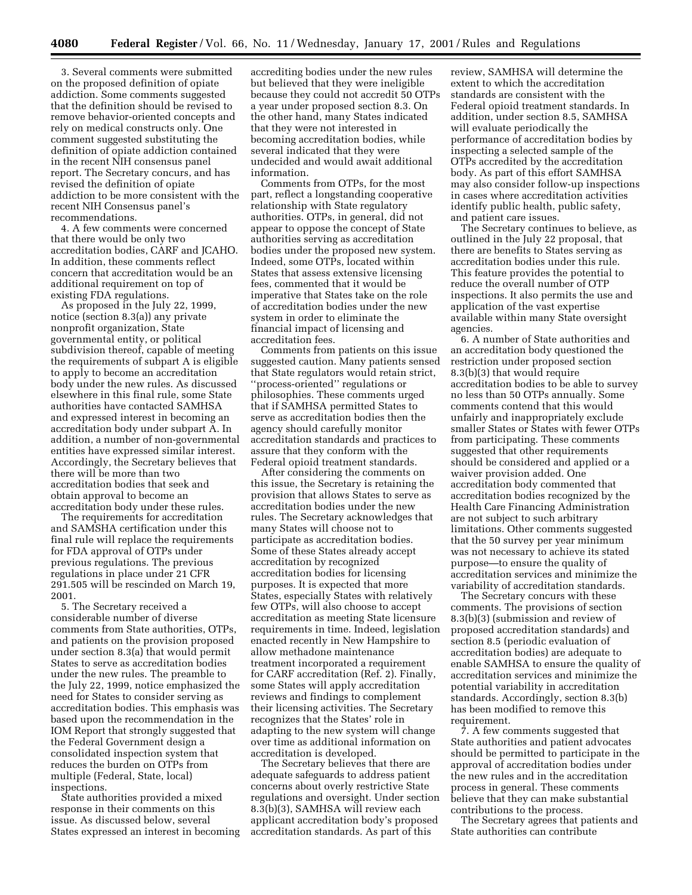3. Several comments were submitted on the proposed definition of opiate addiction. Some comments suggested that the definition should be revised to remove behavior-oriented concepts and rely on medical constructs only. One comment suggested substituting the definition of opiate addiction contained in the recent NIH consensus panel report. The Secretary concurs, and has revised the definition of opiate addiction to be more consistent with the recent NIH Consensus panel's recommendations.

4. A few comments were concerned that there would be only two accreditation bodies, CARF and JCAHO. In addition, these comments reflect concern that accreditation would be an additional requirement on top of existing FDA regulations.

As proposed in the July 22, 1999, notice (section 8.3(a)) any private nonprofit organization, State governmental entity, or political subdivision thereof, capable of meeting the requirements of subpart A is eligible to apply to become an accreditation body under the new rules. As discussed elsewhere in this final rule, some State authorities have contacted SAMHSA and expressed interest in becoming an accreditation body under subpart A. In addition, a number of non-governmental entities have expressed similar interest. Accordingly, the Secretary believes that there will be more than two accreditation bodies that seek and obtain approval to become an accreditation body under these rules.

The requirements for accreditation and SAMSHA certification under this final rule will replace the requirements for FDA approval of OTPs under previous regulations. The previous regulations in place under 21 CFR 291.505 will be rescinded on March 19, 2001.

5. The Secretary received a considerable number of diverse comments from State authorities, OTPs, and patients on the provision proposed under section 8.3(a) that would permit States to serve as accreditation bodies under the new rules. The preamble to the July 22, 1999, notice emphasized the need for States to consider serving as accreditation bodies. This emphasis was based upon the recommendation in the IOM Report that strongly suggested that the Federal Government design a consolidated inspection system that reduces the burden on OTPs from multiple (Federal, State, local) inspections.

State authorities provided a mixed response in their comments on this issue. As discussed below, several States expressed an interest in becoming

accrediting bodies under the new rules but believed that they were ineligible because they could not accredit 50 OTPs a year under proposed section 8.3. On the other hand, many States indicated that they were not interested in becoming accreditation bodies, while several indicated that they were undecided and would await additional information.

Comments from OTPs, for the most part, reflect a longstanding cooperative relationship with State regulatory authorities. OTPs, in general, did not appear to oppose the concept of State authorities serving as accreditation bodies under the proposed new system. Indeed, some OTPs, located within States that assess extensive licensing fees, commented that it would be imperative that States take on the role of accreditation bodies under the new system in order to eliminate the financial impact of licensing and accreditation fees.

Comments from patients on this issue suggested caution. Many patients sensed that State regulators would retain strict, ''process-oriented'' regulations or philosophies. These comments urged that if SAMHSA permitted States to serve as accreditation bodies then the agency should carefully monitor accreditation standards and practices to assure that they conform with the Federal opioid treatment standards.

After considering the comments on this issue, the Secretary is retaining the provision that allows States to serve as accreditation bodies under the new rules. The Secretary acknowledges that many States will choose not to participate as accreditation bodies. Some of these States already accept accreditation by recognized accreditation bodies for licensing purposes. It is expected that more States, especially States with relatively few OTPs, will also choose to accept accreditation as meeting State licensure requirements in time. Indeed, legislation enacted recently in New Hampshire to allow methadone maintenance treatment incorporated a requirement for CARF accreditation (Ref. 2). Finally, some States will apply accreditation reviews and findings to complement their licensing activities. The Secretary recognizes that the States' role in adapting to the new system will change over time as additional information on accreditation is developed.

The Secretary believes that there are adequate safeguards to address patient concerns about overly restrictive State regulations and oversight. Under section 8.3(b)(3), SAMHSA will review each applicant accreditation body's proposed accreditation standards. As part of this

review, SAMHSA will determine the extent to which the accreditation standards are consistent with the Federal opioid treatment standards. In addition, under section 8.5, SAMHSA will evaluate periodically the performance of accreditation bodies by inspecting a selected sample of the OTPs accredited by the accreditation body. As part of this effort SAMHSA may also consider follow-up inspections in cases where accreditation activities identify public health, public safety, and patient care issues.

The Secretary continues to believe, as outlined in the July 22 proposal, that there are benefits to States serving as accreditation bodies under this rule. This feature provides the potential to reduce the overall number of OTP inspections. It also permits the use and application of the vast expertise available within many State oversight agencies.

6. A number of State authorities and an accreditation body questioned the restriction under proposed section 8.3(b)(3) that would require accreditation bodies to be able to survey no less than 50 OTPs annually. Some comments contend that this would unfairly and inappropriately exclude smaller States or States with fewer OTPs from participating. These comments suggested that other requirements should be considered and applied or a waiver provision added. One accreditation body commented that accreditation bodies recognized by the Health Care Financing Administration are not subject to such arbitrary limitations. Other comments suggested that the 50 survey per year minimum was not necessary to achieve its stated purpose—to ensure the quality of accreditation services and minimize the variability of accreditation standards.

The Secretary concurs with these comments. The provisions of section 8.3(b)(3) (submission and review of proposed accreditation standards) and section 8.5 (periodic evaluation of accreditation bodies) are adequate to enable SAMHSA to ensure the quality of accreditation services and minimize the potential variability in accreditation standards. Accordingly, section 8.3(b) has been modified to remove this requirement.

7. A few comments suggested that State authorities and patient advocates should be permitted to participate in the approval of accreditation bodies under the new rules and in the accreditation process in general. These comments believe that they can make substantial contributions to the process.

The Secretary agrees that patients and State authorities can contribute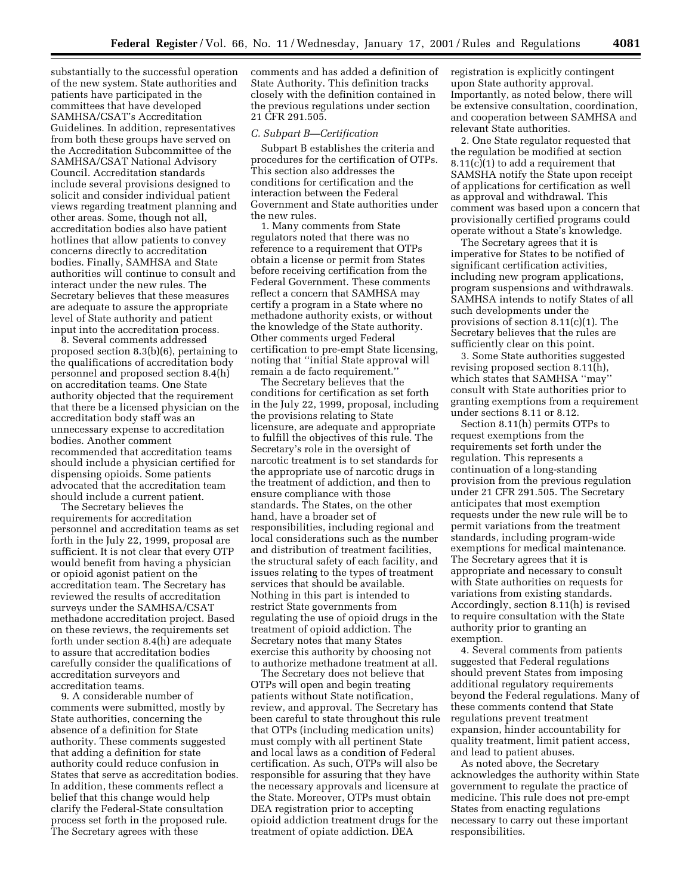substantially to the successful operation of the new system. State authorities and patients have participated in the committees that have developed SAMHSA/CSAT's Accreditation Guidelines. In addition, representatives from both these groups have served on the Accreditation Subcommittee of the SAMHSA/CSAT National Advisory Council. Accreditation standards include several provisions designed to solicit and consider individual patient views regarding treatment planning and other areas. Some, though not all, accreditation bodies also have patient hotlines that allow patients to convey concerns directly to accreditation bodies. Finally, SAMHSA and State authorities will continue to consult and interact under the new rules. The Secretary believes that these measures are adequate to assure the appropriate level of State authority and patient input into the accreditation process.

8. Several comments addressed proposed section 8.3(b)(6), pertaining to the qualifications of accreditation body personnel and proposed section 8.4(h) on accreditation teams. One State authority objected that the requirement that there be a licensed physician on the accreditation body staff was an unnecessary expense to accreditation bodies. Another comment recommended that accreditation teams should include a physician certified for dispensing opioids. Some patients advocated that the accreditation team should include a current patient.

The Secretary believes the requirements for accreditation personnel and accreditation teams as set forth in the July 22, 1999, proposal are sufficient. It is not clear that every OTP would benefit from having a physician or opioid agonist patient on the accreditation team. The Secretary has reviewed the results of accreditation surveys under the SAMHSA/CSAT methadone accreditation project. Based on these reviews, the requirements set forth under section 8.4(h) are adequate to assure that accreditation bodies carefully consider the qualifications of accreditation surveyors and accreditation teams.

9. A considerable number of comments were submitted, mostly by State authorities, concerning the absence of a definition for State authority. These comments suggested that adding a definition for state authority could reduce confusion in States that serve as accreditation bodies. In addition, these comments reflect a belief that this change would help clarify the Federal-State consultation process set forth in the proposed rule. The Secretary agrees with these

comments and has added a definition of State Authority. This definition tracks closely with the definition contained in the previous regulations under section 21 CFR 291.505.

## *C. Subpart B—Certification*

Subpart B establishes the criteria and procedures for the certification of OTPs. This section also addresses the conditions for certification and the interaction between the Federal Government and State authorities under the new rules.

1. Many comments from State regulators noted that there was no reference to a requirement that OTPs obtain a license or permit from States before receiving certification from the Federal Government. These comments reflect a concern that SAMHSA may certify a program in a State where no methadone authority exists, or without the knowledge of the State authority. Other comments urged Federal certification to pre-empt State licensing, noting that ''initial State approval will remain a de facto requirement.''

The Secretary believes that the conditions for certification as set forth in the July 22, 1999, proposal, including the provisions relating to State licensure, are adequate and appropriate to fulfill the objectives of this rule. The Secretary's role in the oversight of narcotic treatment is to set standards for the appropriate use of narcotic drugs in the treatment of addiction, and then to ensure compliance with those standards. The States, on the other hand, have a broader set of responsibilities, including regional and local considerations such as the number and distribution of treatment facilities, the structural safety of each facility, and issues relating to the types of treatment services that should be available. Nothing in this part is intended to restrict State governments from regulating the use of opioid drugs in the treatment of opioid addiction. The Secretary notes that many States exercise this authority by choosing not to authorize methadone treatment at all.

The Secretary does not believe that OTPs will open and begin treating patients without State notification, review, and approval. The Secretary has been careful to state throughout this rule that OTPs (including medication units) must comply with all pertinent State and local laws as a condition of Federal certification. As such, OTPs will also be responsible for assuring that they have the necessary approvals and licensure at the State. Moreover, OTPs must obtain DEA registration prior to accepting opioid addiction treatment drugs for the treatment of opiate addiction. DEA

registration is explicitly contingent upon State authority approval. Importantly, as noted below, there will be extensive consultation, coordination, and cooperation between SAMHSA and relevant State authorities.

2. One State regulator requested that the regulation be modified at section 8.11(c)(1) to add a requirement that SAMSHA notify the State upon receipt of applications for certification as well as approval and withdrawal. This comment was based upon a concern that provisionally certified programs could operate without a State's knowledge.

The Secretary agrees that it is imperative for States to be notified of significant certification activities, including new program applications, program suspensions and withdrawals. SAMHSA intends to notify States of all such developments under the provisions of section 8.11(c)(1). The Secretary believes that the rules are sufficiently clear on this point.

3. Some State authorities suggested revising proposed section 8.11(h), which states that SAMHSA ''may'' consult with State authorities prior to granting exemptions from a requirement under sections 8.11 or 8.12.

Section 8.11(h) permits OTPs to request exemptions from the requirements set forth under the regulation. This represents a continuation of a long-standing provision from the previous regulation under 21 CFR 291.505. The Secretary anticipates that most exemption requests under the new rule will be to permit variations from the treatment standards, including program-wide exemptions for medical maintenance. The Secretary agrees that it is appropriate and necessary to consult with State authorities on requests for variations from existing standards. Accordingly, section 8.11(h) is revised to require consultation with the State authority prior to granting an exemption.

4. Several comments from patients suggested that Federal regulations should prevent States from imposing additional regulatory requirements beyond the Federal regulations. Many of these comments contend that State regulations prevent treatment expansion, hinder accountability for quality treatment, limit patient access, and lead to patient abuses.

As noted above, the Secretary acknowledges the authority within State government to regulate the practice of medicine. This rule does not pre-empt States from enacting regulations necessary to carry out these important responsibilities.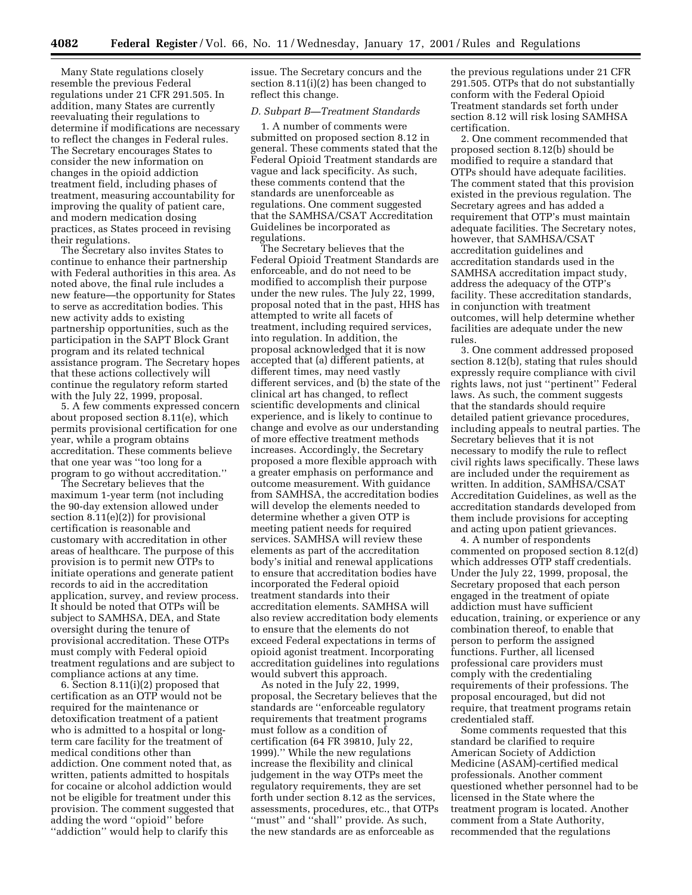Many State regulations closely resemble the previous Federal regulations under 21 CFR 291.505. In addition, many States are currently reevaluating their regulations to determine if modifications are necessary to reflect the changes in Federal rules. The Secretary encourages States to consider the new information on changes in the opioid addiction treatment field, including phases of treatment, measuring accountability for improving the quality of patient care, and modern medication dosing practices, as States proceed in revising their regulations.

The Secretary also invites States to continue to enhance their partnership with Federal authorities in this area. As noted above, the final rule includes a new feature—the opportunity for States to serve as accreditation bodies. This new activity adds to existing partnership opportunities, such as the participation in the SAPT Block Grant program and its related technical assistance program. The Secretary hopes that these actions collectively will continue the regulatory reform started with the July 22, 1999, proposal.

5. A few comments expressed concern about proposed section 8.11(e), which permits provisional certification for one year, while a program obtains accreditation. These comments believe that one year was ''too long for a program to go without accreditation.''

The Secretary believes that the maximum 1-year term (not including the 90-day extension allowed under section 8.11(e)(2)) for provisional certification is reasonable and customary with accreditation in other areas of healthcare. The purpose of this provision is to permit new OTPs to initiate operations and generate patient records to aid in the accreditation application, survey, and review process. It should be noted that OTPs will be subject to SAMHSA, DEA, and State oversight during the tenure of provisional accreditation. These OTPs must comply with Federal opioid treatment regulations and are subject to compliance actions at any time.

6. Section 8.11(i)(2) proposed that certification as an OTP would not be required for the maintenance or detoxification treatment of a patient who is admitted to a hospital or longterm care facility for the treatment of medical conditions other than addiction. One comment noted that, as written, patients admitted to hospitals for cocaine or alcohol addiction would not be eligible for treatment under this provision. The comment suggested that adding the word ''opioid'' before ''addiction'' would help to clarify this

issue. The Secretary concurs and the section 8.11(i)(2) has been changed to reflect this change.

# *D. Subpart B—Treatment Standards*

1. A number of comments were submitted on proposed section 8.12 in general. These comments stated that the Federal Opioid Treatment standards are vague and lack specificity. As such, these comments contend that the standards are unenforceable as regulations. One comment suggested that the SAMHSA/CSAT Accreditation Guidelines be incorporated as regulations.

The Secretary believes that the Federal Opioid Treatment Standards are enforceable, and do not need to be modified to accomplish their purpose under the new rules. The July 22, 1999, proposal noted that in the past, HHS has attempted to write all facets of treatment, including required services, into regulation. In addition, the proposal acknowledged that it is now accepted that (a) different patients, at different times, may need vastly different services, and (b) the state of the clinical art has changed, to reflect scientific developments and clinical experience, and is likely to continue to change and evolve as our understanding of more effective treatment methods increases. Accordingly, the Secretary proposed a more flexible approach with a greater emphasis on performance and outcome measurement. With guidance from SAMHSA, the accreditation bodies will develop the elements needed to determine whether a given OTP is meeting patient needs for required services. SAMHSA will review these elements as part of the accreditation body's initial and renewal applications to ensure that accreditation bodies have incorporated the Federal opioid treatment standards into their accreditation elements. SAMHSA will also review accreditation body elements to ensure that the elements do not exceed Federal expectations in terms of opioid agonist treatment. Incorporating accreditation guidelines into regulations would subvert this approach.

As noted in the July 22, 1999, proposal, the Secretary believes that the standards are ''enforceable regulatory requirements that treatment programs must follow as a condition of certification (64 FR 39810, July 22, 1999).'' While the new regulations increase the flexibility and clinical judgement in the way OTPs meet the regulatory requirements, they are set forth under section 8.12 as the services, assessments, procedures, etc., that OTPs "must" and "shall" provide. As such, the new standards are as enforceable as

the previous regulations under 21 CFR 291.505. OTPs that do not substantially conform with the Federal Opioid Treatment standards set forth under section 8.12 will risk losing SAMHSA certification.

2. One comment recommended that proposed section 8.12(b) should be modified to require a standard that OTPs should have adequate facilities. The comment stated that this provision existed in the previous regulation. The Secretary agrees and has added a requirement that OTP's must maintain adequate facilities. The Secretary notes, however, that SAMHSA/CSAT accreditation guidelines and accreditation standards used in the SAMHSA accreditation impact study, address the adequacy of the OTP's facility. These accreditation standards, in conjunction with treatment outcomes, will help determine whether facilities are adequate under the new rules.

3. One comment addressed proposed section 8.12(b), stating that rules should expressly require compliance with civil rights laws, not just ''pertinent'' Federal laws. As such, the comment suggests that the standards should require detailed patient grievance procedures, including appeals to neutral parties. The Secretary believes that it is not necessary to modify the rule to reflect civil rights laws specifically. These laws are included under the requirement as written. In addition, SAMHSA/CSAT Accreditation Guidelines, as well as the accreditation standards developed from them include provisions for accepting and acting upon patient grievances.

4. A number of respondents commented on proposed section 8.12(d) which addresses OTP staff credentials. Under the July 22, 1999, proposal, the Secretary proposed that each person engaged in the treatment of opiate addiction must have sufficient education, training, or experience or any combination thereof, to enable that person to perform the assigned functions. Further, all licensed professional care providers must comply with the credentialing requirements of their professions. The proposal encouraged, but did not require, that treatment programs retain credentialed staff.

Some comments requested that this standard be clarified to require American Society of Addiction Medicine (ASAM)-certified medical professionals. Another comment questioned whether personnel had to be licensed in the State where the treatment program is located. Another comment from a State Authority, recommended that the regulations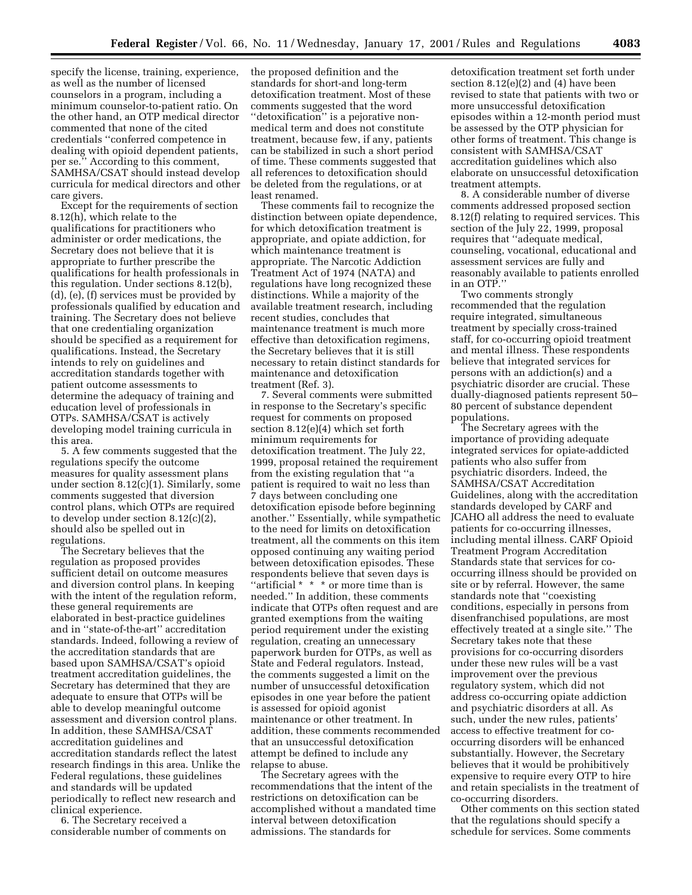specify the license, training, experience, as well as the number of licensed counselors in a program, including a minimum counselor-to-patient ratio. On the other hand, an OTP medical director commented that none of the cited credentials ''conferred competence in dealing with opioid dependent patients, per se.'' According to this comment, SAMHSA/CSAT should instead develop curricula for medical directors and other care givers.

Except for the requirements of section 8.12(h), which relate to the qualifications for practitioners who administer or order medications, the Secretary does not believe that it is appropriate to further prescribe the qualifications for health professionals in this regulation. Under sections 8.12(b), (d), (e), (f) services must be provided by professionals qualified by education and training. The Secretary does not believe that one credentialing organization should be specified as a requirement for qualifications. Instead, the Secretary intends to rely on guidelines and accreditation standards together with patient outcome assessments to determine the adequacy of training and education level of professionals in OTPs. SAMHSA/CSAT is actively developing model training curricula in this area.

5. A few comments suggested that the regulations specify the outcome measures for quality assessment plans under section 8.12(c)(1). Similarly, some comments suggested that diversion control plans, which OTPs are required to develop under section 8.12(c)(2), should also be spelled out in regulations.

The Secretary believes that the regulation as proposed provides sufficient detail on outcome measures and diversion control plans. In keeping with the intent of the regulation reform, these general requirements are elaborated in best-practice guidelines and in ''state-of-the-art'' accreditation standards. Indeed, following a review of the accreditation standards that are based upon SAMHSA/CSAT's opioid treatment accreditation guidelines, the Secretary has determined that they are adequate to ensure that OTPs will be able to develop meaningful outcome assessment and diversion control plans. In addition, these SAMHSA/CSAT accreditation guidelines and accreditation standards reflect the latest research findings in this area. Unlike the Federal regulations, these guidelines and standards will be updated periodically to reflect new research and clinical experience.

6. The Secretary received a considerable number of comments on the proposed definition and the standards for short-and long-term detoxification treatment. Most of these comments suggested that the word "detoxification" is a pejorative nonmedical term and does not constitute treatment, because few, if any, patients can be stabilized in such a short period of time. These comments suggested that all references to detoxification should be deleted from the regulations, or at least renamed.

These comments fail to recognize the distinction between opiate dependence, for which detoxification treatment is appropriate, and opiate addiction, for which maintenance treatment is appropriate. The Narcotic Addiction Treatment Act of 1974 (NATA) and regulations have long recognized these distinctions. While a majority of the available treatment research, including recent studies, concludes that maintenance treatment is much more effective than detoxification regimens, the Secretary believes that it is still necessary to retain distinct standards for maintenance and detoxification treatment (Ref. 3).

7. Several comments were submitted in response to the Secretary's specific request for comments on proposed section 8.12(e)(4) which set forth minimum requirements for detoxification treatment. The July 22, 1999, proposal retained the requirement from the existing regulation that ''a patient is required to wait no less than 7 days between concluding one detoxification episode before beginning another.'' Essentially, while sympathetic to the need for limits on detoxification treatment, all the comments on this item opposed continuing any waiting period between detoxification episodes. These respondents believe that seven days is ''artificial \* \* \* or more time than is needed.'' In addition, these comments indicate that OTPs often request and are granted exemptions from the waiting period requirement under the existing regulation, creating an unnecessary paperwork burden for OTPs, as well as State and Federal regulators. Instead, the comments suggested a limit on the number of unsuccessful detoxification episodes in one year before the patient is assessed for opioid agonist maintenance or other treatment. In addition, these comments recommended that an unsuccessful detoxification attempt be defined to include any relapse to abuse.

The Secretary agrees with the recommendations that the intent of the restrictions on detoxification can be accomplished without a mandated time interval between detoxification admissions. The standards for

detoxification treatment set forth under section 8.12(e)(2) and (4) have been revised to state that patients with two or more unsuccessful detoxification episodes within a 12-month period must be assessed by the OTP physician for other forms of treatment. This change is consistent with SAMHSA/CSAT accreditation guidelines which also elaborate on unsuccessful detoxification treatment attempts.

8. A considerable number of diverse comments addressed proposed section 8.12(f) relating to required services. This section of the July 22, 1999, proposal requires that ''adequate medical, counseling, vocational, educational and assessment services are fully and reasonably available to patients enrolled in an OTP.''

Two comments strongly recommended that the regulation require integrated, simultaneous treatment by specially cross-trained staff, for co-occurring opioid treatment and mental illness. These respondents believe that integrated services for persons with an addiction(s) and a psychiatric disorder are crucial. These dually-diagnosed patients represent 50– 80 percent of substance dependent populations.

The Secretary agrees with the importance of providing adequate integrated services for opiate-addicted patients who also suffer from psychiatric disorders. Indeed, the SAMHSA/CSAT Accreditation Guidelines, along with the accreditation standards developed by CARF and JCAHO all address the need to evaluate patients for co-occurring illnesses, including mental illness. CARF Opioid Treatment Program Accreditation Standards state that services for cooccurring illness should be provided on site or by referral. However, the same standards note that ''coexisting conditions, especially in persons from disenfranchised populations, are most effectively treated at a single site.'' The Secretary takes note that these provisions for co-occurring disorders under these new rules will be a vast improvement over the previous regulatory system, which did not address co-occurring opiate addiction and psychiatric disorders at all. As such, under the new rules, patients' access to effective treatment for cooccurring disorders will be enhanced substantially. However, the Secretary believes that it would be prohibitively expensive to require every OTP to hire and retain specialists in the treatment of co-occurring disorders.

Other comments on this section stated that the regulations should specify a schedule for services. Some comments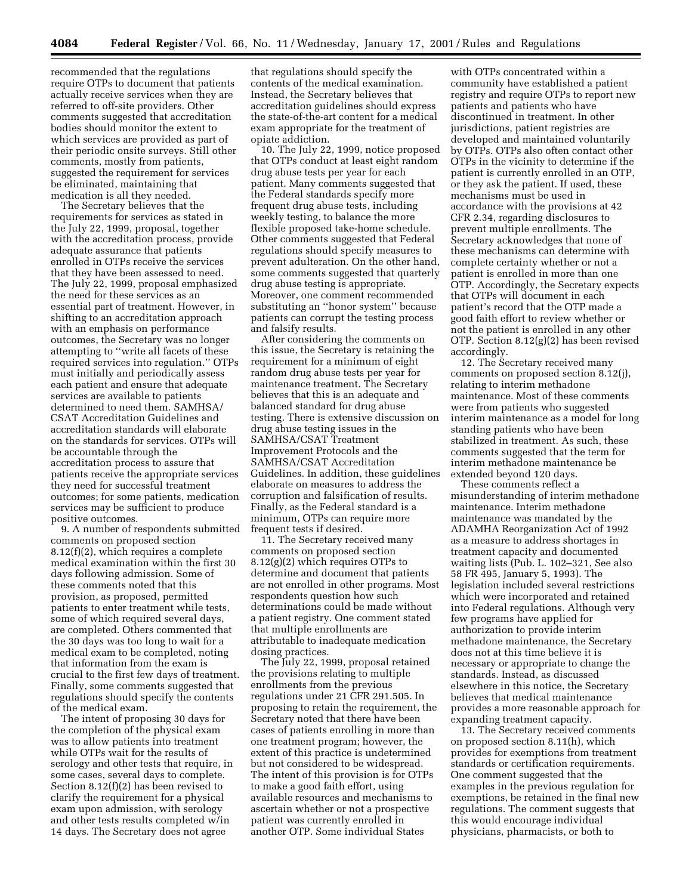recommended that the regulations require OTPs to document that patients actually receive services when they are referred to off-site providers. Other comments suggested that accreditation bodies should monitor the extent to which services are provided as part of their periodic onsite surveys. Still other comments, mostly from patients, suggested the requirement for services be eliminated, maintaining that medication is all they needed.

The Secretary believes that the requirements for services as stated in the July 22, 1999, proposal, together with the accreditation process, provide adequate assurance that patients enrolled in OTPs receive the services that they have been assessed to need. The July 22, 1999, proposal emphasized the need for these services as an essential part of treatment. However, in shifting to an accreditation approach with an emphasis on performance outcomes, the Secretary was no longer attempting to ''write all facets of these required services into regulation.'' OTPs must initially and periodically assess each patient and ensure that adequate services are available to patients determined to need them. SAMHSA/ CSAT Accreditation Guidelines and accreditation standards will elaborate on the standards for services. OTPs will be accountable through the accreditation process to assure that patients receive the appropriate services they need for successful treatment outcomes; for some patients, medication services may be sufficient to produce positive outcomes.

9. A number of respondents submitted comments on proposed section 8.12(f)(2), which requires a complete medical examination within the first 30 days following admission. Some of these comments noted that this provision, as proposed, permitted patients to enter treatment while tests, some of which required several days, are completed. Others commented that the 30 days was too long to wait for a medical exam to be completed, noting that information from the exam is crucial to the first few days of treatment. Finally, some comments suggested that regulations should specify the contents of the medical exam.

The intent of proposing 30 days for the completion of the physical exam was to allow patients into treatment while OTPs wait for the results of serology and other tests that require, in some cases, several days to complete. Section 8.12(f)(2) has been revised to clarify the requirement for a physical exam upon admission, with serology and other tests results completed w/in 14 days. The Secretary does not agree

that regulations should specify the contents of the medical examination. Instead, the Secretary believes that accreditation guidelines should express the state-of-the-art content for a medical exam appropriate for the treatment of opiate addiction.

10. The July 22, 1999, notice proposed that OTPs conduct at least eight random drug abuse tests per year for each patient. Many comments suggested that the Federal standards specify more frequent drug abuse tests, including weekly testing, to balance the more flexible proposed take-home schedule. Other comments suggested that Federal regulations should specify measures to prevent adulteration. On the other hand, some comments suggested that quarterly drug abuse testing is appropriate. Moreover, one comment recommended substituting an ''honor system'' because patients can corrupt the testing process and falsify results.

After considering the comments on this issue, the Secretary is retaining the requirement for a minimum of eight random drug abuse tests per year for maintenance treatment. The Secretary believes that this is an adequate and balanced standard for drug abuse testing. There is extensive discussion on drug abuse testing issues in the SAMHSA/CSAT Treatment Improvement Protocols and the SAMHSA/CSAT Accreditation Guidelines. In addition, these guidelines elaborate on measures to address the corruption and falsification of results. Finally, as the Federal standard is a minimum, OTPs can require more frequent tests if desired.

11. The Secretary received many comments on proposed section 8.12(g)(2) which requires OTPs to determine and document that patients are not enrolled in other programs. Most respondents question how such determinations could be made without a patient registry. One comment stated that multiple enrollments are attributable to inadequate medication dosing practices.

The July 22, 1999, proposal retained the provisions relating to multiple enrollments from the previous regulations under 21 CFR 291.505. In proposing to retain the requirement, the Secretary noted that there have been cases of patients enrolling in more than one treatment program; however, the extent of this practice is undetermined but not considered to be widespread. The intent of this provision is for OTPs to make a good faith effort, using available resources and mechanisms to ascertain whether or not a prospective patient was currently enrolled in another OTP. Some individual States

with OTPs concentrated within a community have established a patient registry and require OTPs to report new patients and patients who have discontinued in treatment. In other jurisdictions, patient registries are developed and maintained voluntarily by OTPs. OTPs also often contact other OTPs in the vicinity to determine if the patient is currently enrolled in an OTP, or they ask the patient. If used, these mechanisms must be used in accordance with the provisions at 42 CFR 2.34, regarding disclosures to prevent multiple enrollments. The Secretary acknowledges that none of these mechanisms can determine with complete certainty whether or not a patient is enrolled in more than one OTP. Accordingly, the Secretary expects that OTPs will document in each patient's record that the OTP made a good faith effort to review whether or not the patient is enrolled in any other OTP. Section 8.12(g)(2) has been revised accordingly.

12. The Secretary received many comments on proposed section 8.12(j), relating to interim methadone maintenance. Most of these comments were from patients who suggested interim maintenance as a model for long standing patients who have been stabilized in treatment. As such, these comments suggested that the term for interim methadone maintenance be extended beyond 120 days.

These comments reflect a misunderstanding of interim methadone maintenance. Interim methadone maintenance was mandated by the ADAMHA Reorganization Act of 1992 as a measure to address shortages in treatment capacity and documented waiting lists (Pub. L. 102–321, See also 58 FR 495, January 5, 1993). The legislation included several restrictions which were incorporated and retained into Federal regulations. Although very few programs have applied for authorization to provide interim methadone maintenance, the Secretary does not at this time believe it is necessary or appropriate to change the standards. Instead, as discussed elsewhere in this notice, the Secretary believes that medical maintenance provides a more reasonable approach for expanding treatment capacity.

13. The Secretary received comments on proposed section 8.11(h), which provides for exemptions from treatment standards or certification requirements. One comment suggested that the examples in the previous regulation for exemptions, be retained in the final new regulations. The comment suggests that this would encourage individual physicians, pharmacists, or both to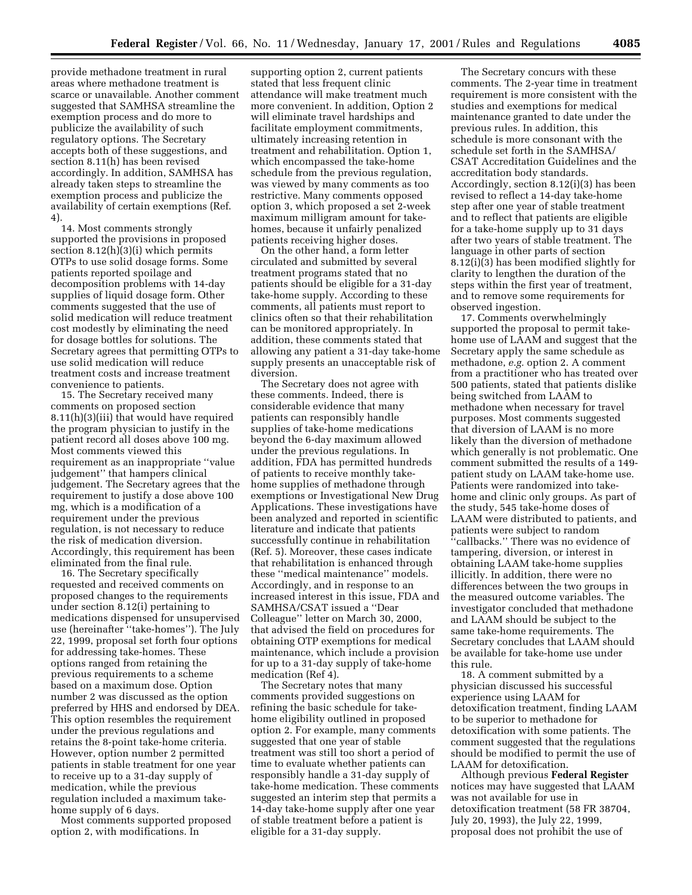provide methadone treatment in rural areas where methadone treatment is scarce or unavailable. Another comment suggested that SAMHSA streamline the exemption process and do more to publicize the availability of such regulatory options. The Secretary accepts both of these suggestions, and section 8.11(h) has been revised accordingly. In addition, SAMHSA has already taken steps to streamline the exemption process and publicize the availability of certain exemptions (Ref. 4).

14. Most comments strongly supported the provisions in proposed section 8.12(h)(3)(i) which permits OTPs to use solid dosage forms. Some patients reported spoilage and decomposition problems with 14-day supplies of liquid dosage form. Other comments suggested that the use of solid medication will reduce treatment cost modestly by eliminating the need for dosage bottles for solutions. The Secretary agrees that permitting OTPs to use solid medication will reduce treatment costs and increase treatment convenience to patients.

15. The Secretary received many comments on proposed section 8.11(h)(3)(iii) that would have required the program physician to justify in the patient record all doses above 100 mg. Most comments viewed this requirement as an inappropriate ''value judgement'' that hampers clinical judgement. The Secretary agrees that the requirement to justify a dose above 100 mg, which is a modification of a requirement under the previous regulation, is not necessary to reduce the risk of medication diversion. Accordingly, this requirement has been eliminated from the final rule.

16. The Secretary specifically requested and received comments on proposed changes to the requirements under section 8.12(i) pertaining to medications dispensed for unsupervised use (hereinafter ''take-homes''). The July 22, 1999, proposal set forth four options for addressing take-homes. These options ranged from retaining the previous requirements to a scheme based on a maximum dose. Option number 2 was discussed as the option preferred by HHS and endorsed by DEA. This option resembles the requirement under the previous regulations and retains the 8-point take-home criteria. However, option number 2 permitted patients in stable treatment for one year to receive up to a 31-day supply of medication, while the previous regulation included a maximum takehome supply of 6 days.

Most comments supported proposed option 2, with modifications. In

supporting option 2, current patients stated that less frequent clinic attendance will make treatment much more convenient. In addition, Option 2 will eliminate travel hardships and facilitate employment commitments, ultimately increasing retention in treatment and rehabilitation. Option 1, which encompassed the take-home schedule from the previous regulation, was viewed by many comments as too restrictive. Many comments opposed option 3, which proposed a set 2-week maximum milligram amount for takehomes, because it unfairly penalized patients receiving higher doses.

On the other hand, a form letter circulated and submitted by several treatment programs stated that no patients should be eligible for a 31-day take-home supply. According to these comments, all patients must report to clinics often so that their rehabilitation can be monitored appropriately. In addition, these comments stated that allowing any patient a 31-day take-home supply presents an unacceptable risk of diversion.

The Secretary does not agree with these comments. Indeed, there is considerable evidence that many patients can responsibly handle supplies of take-home medications beyond the 6-day maximum allowed under the previous regulations. In addition, FDA has permitted hundreds of patients to receive monthly takehome supplies of methadone through exemptions or Investigational New Drug Applications. These investigations have been analyzed and reported in scientific literature and indicate that patients successfully continue in rehabilitation (Ref. 5). Moreover, these cases indicate that rehabilitation is enhanced through these ''medical maintenance'' models. Accordingly, and in response to an increased interest in this issue, FDA and SAMHSA/CSAT issued a ''Dear Colleague'' letter on March 30, 2000, that advised the field on procedures for obtaining OTP exemptions for medical maintenance, which include a provision for up to a 31-day supply of take-home medication (Ref 4).

The Secretary notes that many comments provided suggestions on refining the basic schedule for takehome eligibility outlined in proposed option 2. For example, many comments suggested that one year of stable treatment was still too short a period of time to evaluate whether patients can responsibly handle a 31-day supply of take-home medication. These comments suggested an interim step that permits a 14-day take-home supply after one year of stable treatment before a patient is eligible for a 31-day supply.

The Secretary concurs with these comments. The 2-year time in treatment requirement is more consistent with the studies and exemptions for medical maintenance granted to date under the previous rules. In addition, this schedule is more consonant with the schedule set forth in the SAMHSA/ CSAT Accreditation Guidelines and the accreditation body standards. Accordingly, section 8.12(i)(3) has been revised to reflect a 14-day take-home step after one year of stable treatment and to reflect that patients are eligible for a take-home supply up to 31 days after two years of stable treatment. The language in other parts of section 8.12(i)(3) has been modified slightly for clarity to lengthen the duration of the steps within the first year of treatment, and to remove some requirements for observed ingestion.

17. Comments overwhelmingly supported the proposal to permit takehome use of LAAM and suggest that the Secretary apply the same schedule as methadone, *e.g.* option 2. A comment from a practitioner who has treated over 500 patients, stated that patients dislike being switched from LAAM to methadone when necessary for travel purposes. Most comments suggested that diversion of LAAM is no more likely than the diversion of methadone which generally is not problematic. One comment submitted the results of a 149 patient study on LAAM take-home use. Patients were randomized into takehome and clinic only groups. As part of the study, 545 take-home doses of LAAM were distributed to patients, and patients were subject to random ''callbacks.'' There was no evidence of tampering, diversion, or interest in obtaining LAAM take-home supplies illicitly. In addition, there were no differences between the two groups in the measured outcome variables. The investigator concluded that methadone and LAAM should be subject to the same take-home requirements. The Secretary concludes that LAAM should be available for take-home use under this rule.

18. A comment submitted by a physician discussed his successful experience using LAAM for detoxification treatment, finding LAAM to be superior to methadone for detoxification with some patients. The comment suggested that the regulations should be modified to permit the use of LAAM for detoxification.

Although previous **Federal Register** notices may have suggested that LAAM was not available for use in detoxification treatment (58 FR 38704, July 20, 1993), the July 22, 1999, proposal does not prohibit the use of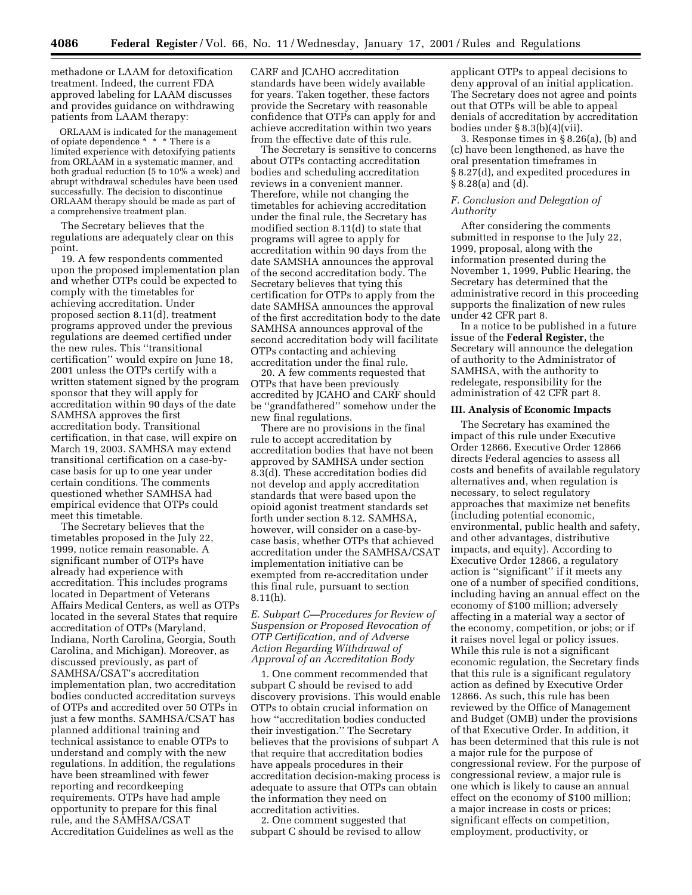methadone or LAAM for detoxification treatment. Indeed, the current FDA approved labeling for LAAM discusses and provides guidance on withdrawing patients from LAAM therapy:

ORLAAM is indicated for the management of opiate dependence \* \* \* There is a limited experience with detoxifying patients from ORLAAM in a systematic manner, and both gradual reduction (5 to 10% a week) and abrupt withdrawal schedules have been used successfully. The decision to discontinue ORLAAM therapy should be made as part of a comprehensive treatment plan.

The Secretary believes that the regulations are adequately clear on this point.

19. A few respondents commented upon the proposed implementation plan and whether OTPs could be expected to comply with the timetables for achieving accreditation. Under proposed section 8.11(d), treatment programs approved under the previous regulations are deemed certified under the new rules. This ''transitional certification'' would expire on June 18, 2001 unless the OTPs certify with a written statement signed by the program sponsor that they will apply for accreditation within 90 days of the date SAMHSA approves the first accreditation body. Transitional certification, in that case, will expire on March 19, 2003. SAMHSA may extend transitional certification on a case-bycase basis for up to one year under certain conditions. The comments questioned whether SAMHSA had empirical evidence that OTPs could meet this timetable.

The Secretary believes that the timetables proposed in the July 22, 1999, notice remain reasonable. A significant number of OTPs have already had experience with accreditation. This includes programs located in Department of Veterans Affairs Medical Centers, as well as OTPs located in the several States that require accreditation of OTPs (Maryland, Indiana, North Carolina, Georgia, South Carolina, and Michigan). Moreover, as discussed previously, as part of SAMHSA/CSAT's accreditation implementation plan, two accreditation bodies conducted accreditation surveys of OTPs and accredited over 50 OTPs in just a few months. SAMHSA/CSAT has planned additional training and technical assistance to enable OTPs to understand and comply with the new regulations. In addition, the regulations have been streamlined with fewer reporting and recordkeeping requirements. OTPs have had ample opportunity to prepare for this final rule, and the SAMHSA/CSAT Accreditation Guidelines as well as the

CARF and JCAHO accreditation standards have been widely available for years. Taken together, these factors provide the Secretary with reasonable confidence that OTPs can apply for and achieve accreditation within two years from the effective date of this rule.

The Secretary is sensitive to concerns about OTPs contacting accreditation bodies and scheduling accreditation reviews in a convenient manner. Therefore, while not changing the timetables for achieving accreditation under the final rule, the Secretary has modified section 8.11(d) to state that programs will agree to apply for accreditation within 90 days from the date SAMSHA announces the approval of the second accreditation body. The Secretary believes that tying this certification for OTPs to apply from the date SAMHSA announces the approval of the first accreditation body to the date SAMHSA announces approval of the second accreditation body will facilitate OTPs contacting and achieving accreditation under the final rule.

20. A few comments requested that OTPs that have been previously accredited by JCAHO and CARF should be ''grandfathered'' somehow under the new final regulations.

There are no provisions in the final rule to accept accreditation by accreditation bodies that have not been approved by SAMHSA under section 8.3(d). These accreditation bodies did not develop and apply accreditation standards that were based upon the opioid agonist treatment standards set forth under section 8.12. SAMHSA, however, will consider on a case-bycase basis, whether OTPs that achieved accreditation under the SAMHSA/CSAT implementation initiative can be exempted from re-accreditation under this final rule, pursuant to section 8.11(h).

*E. Subpart C—Procedures for Review of Suspension or Proposed Revocation of OTP Certification, and of Adverse Action Regarding Withdrawal of Approval of an Accreditation Body*

1. One comment recommended that subpart C should be revised to add discovery provisions. This would enable OTPs to obtain crucial information on how ''accreditation bodies conducted their investigation.'' The Secretary believes that the provisions of subpart A that require that accreditation bodies have appeals procedures in their accreditation decision-making process is adequate to assure that OTPs can obtain the information they need on accreditation activities.

2. One comment suggested that subpart C should be revised to allow applicant OTPs to appeal decisions to deny approval of an initial application. The Secretary does not agree and points out that OTPs will be able to appeal denials of accreditation by accreditation bodies under § 8.3(b)(4)(vii).

3. Response times in § 8.26(a), (b) and (c) have been lengthened, as have the oral presentation timeframes in § 8.27(d), and expedited procedures in § 8.28(a) and (d).

# *F. Conclusion and Delegation of Authority*

After considering the comments submitted in response to the July 22, 1999, proposal, along with the information presented during the November 1, 1999, Public Hearing, the Secretary has determined that the administrative record in this proceeding supports the finalization of new rules under 42 CFR part 8.

In a notice to be published in a future issue of the **Federal Register,** the Secretary will announce the delegation of authority to the Administrator of SAMHSA, with the authority to redelegate, responsibility for the administration of 42 CFR part 8.

# **III. Analysis of Economic Impacts**

The Secretary has examined the impact of this rule under Executive Order 12866. Executive Order 12866 directs Federal agencies to assess all costs and benefits of available regulatory alternatives and, when regulation is necessary, to select regulatory approaches that maximize net benefits (including potential economic, environmental, public health and safety, and other advantages, distributive impacts, and equity). According to Executive Order 12866, a regulatory action is ''significant'' if it meets any one of a number of specified conditions, including having an annual effect on the economy of \$100 million; adversely affecting in a material way a sector of the economy, competition, or jobs; or if it raises novel legal or policy issues. While this rule is not a significant economic regulation, the Secretary finds that this rule is a significant regulatory action as defined by Executive Order 12866. As such, this rule has been reviewed by the Office of Management and Budget (OMB) under the provisions of that Executive Order. In addition, it has been determined that this rule is not a major rule for the purpose of congressional review. For the purpose of congressional review, a major rule is one which is likely to cause an annual effect on the economy of \$100 million; a major increase in costs or prices; significant effects on competition, employment, productivity, or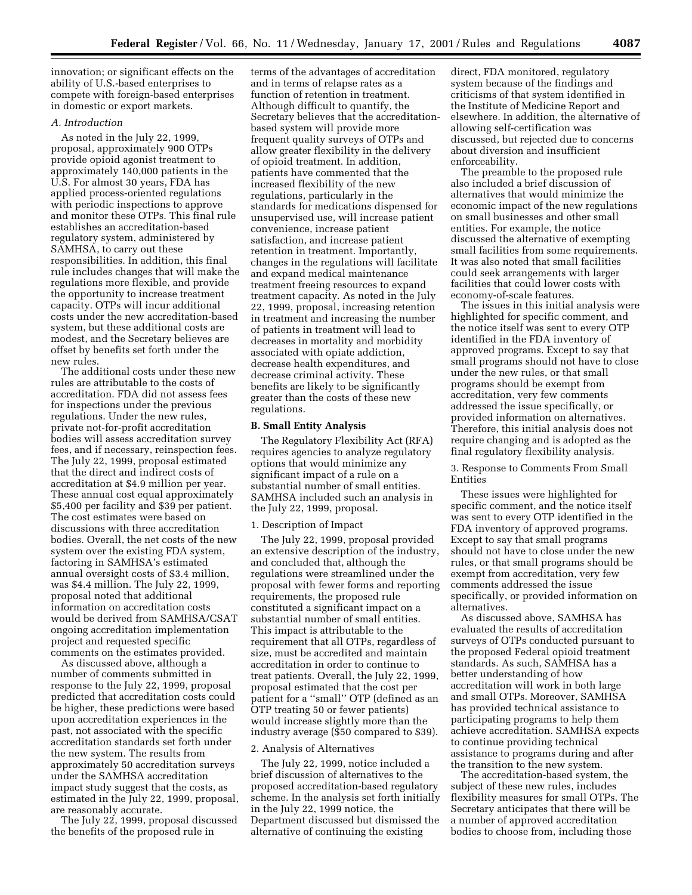innovation; or significant effects on the ability of U.S.-based enterprises to compete with foreign-based enterprises in domestic or export markets.

# *A. Introduction*

As noted in the July 22, 1999, proposal, approximately 900 OTPs provide opioid agonist treatment to approximately 140,000 patients in the U.S. For almost 30 years, FDA has applied process-oriented regulations with periodic inspections to approve and monitor these OTPs. This final rule establishes an accreditation-based regulatory system, administered by SAMHSA, to carry out these responsibilities. In addition, this final rule includes changes that will make the regulations more flexible, and provide the opportunity to increase treatment capacity. OTPs will incur additional costs under the new accreditation-based system, but these additional costs are modest, and the Secretary believes are offset by benefits set forth under the new rules.

The additional costs under these new rules are attributable to the costs of accreditation. FDA did not assess fees for inspections under the previous regulations. Under the new rules, private not-for-profit accreditation bodies will assess accreditation survey fees, and if necessary, reinspection fees. The July 22, 1999, proposal estimated that the direct and indirect costs of accreditation at \$4.9 million per year. These annual cost equal approximately \$5,400 per facility and \$39 per patient. The cost estimates were based on discussions with three accreditation bodies. Overall, the net costs of the new system over the existing FDA system, factoring in SAMHSA's estimated annual oversight costs of \$3.4 million, was \$4.4 million. The July 22, 1999, proposal noted that additional information on accreditation costs would be derived from SAMHSA/CSAT ongoing accreditation implementation project and requested specific comments on the estimates provided.

As discussed above, although a number of comments submitted in response to the July 22, 1999, proposal predicted that accreditation costs could be higher, these predictions were based upon accreditation experiences in the past, not associated with the specific accreditation standards set forth under the new system. The results from approximately 50 accreditation surveys under the SAMHSA accreditation impact study suggest that the costs, as estimated in the July 22, 1999, proposal, are reasonably accurate.

The July 22, 1999, proposal discussed the benefits of the proposed rule in

terms of the advantages of accreditation and in terms of relapse rates as a function of retention in treatment. Although difficult to quantify, the Secretary believes that the accreditationbased system will provide more frequent quality surveys of OTPs and allow greater flexibility in the delivery of opioid treatment. In addition, patients have commented that the increased flexibility of the new regulations, particularly in the standards for medications dispensed for unsupervised use, will increase patient convenience, increase patient satisfaction, and increase patient retention in treatment. Importantly, changes in the regulations will facilitate and expand medical maintenance treatment freeing resources to expand treatment capacity. As noted in the July 22, 1999, proposal, increasing retention in treatment and increasing the number of patients in treatment will lead to decreases in mortality and morbidity associated with opiate addiction, decrease health expenditures, and decrease criminal activity. These benefits are likely to be significantly greater than the costs of these new regulations.

#### **B. Small Entity Analysis**

The Regulatory Flexibility Act (RFA) requires agencies to analyze regulatory options that would minimize any significant impact of a rule on a substantial number of small entities. SAMHSA included such an analysis in the July 22, 1999, proposal.

### 1. Description of Impact

The July 22, 1999, proposal provided an extensive description of the industry, and concluded that, although the regulations were streamlined under the proposal with fewer forms and reporting requirements, the proposed rule constituted a significant impact on a substantial number of small entities. This impact is attributable to the requirement that all OTPs, regardless of size, must be accredited and maintain accreditation in order to continue to treat patients. Overall, the July 22, 1999, proposal estimated that the cost per patient for a ''small'' OTP (defined as an OTP treating 50 or fewer patients) would increase slightly more than the industry average (\$50 compared to \$39).

# 2. Analysis of Alternatives

The July 22, 1999, notice included a brief discussion of alternatives to the proposed accreditation-based regulatory scheme. In the analysis set forth initially in the July 22, 1999 notice, the Department discussed but dismissed the alternative of continuing the existing

direct, FDA monitored, regulatory system because of the findings and criticisms of that system identified in the Institute of Medicine Report and elsewhere. In addition, the alternative of allowing self-certification was discussed, but rejected due to concerns about diversion and insufficient enforceability.

The preamble to the proposed rule also included a brief discussion of alternatives that would minimize the economic impact of the new regulations on small businesses and other small entities. For example, the notice discussed the alternative of exempting small facilities from some requirements. It was also noted that small facilities could seek arrangements with larger facilities that could lower costs with economy-of-scale features.

The issues in this initial analysis were highlighted for specific comment, and the notice itself was sent to every OTP identified in the FDA inventory of approved programs. Except to say that small programs should not have to close under the new rules, or that small programs should be exempt from accreditation, very few comments addressed the issue specifically, or provided information on alternatives. Therefore, this initial analysis does not require changing and is adopted as the final regulatory flexibility analysis.

3. Response to Comments From Small Entities

These issues were highlighted for specific comment, and the notice itself was sent to every OTP identified in the FDA inventory of approved programs. Except to say that small programs should not have to close under the new rules, or that small programs should be exempt from accreditation, very few comments addressed the issue specifically, or provided information on alternatives.

As discussed above, SAMHSA has evaluated the results of accreditation surveys of OTPs conducted pursuant to the proposed Federal opioid treatment standards. As such, SAMHSA has a better understanding of how accreditation will work in both large and small OTPs. Moreover, SAMHSA has provided technical assistance to participating programs to help them achieve accreditation. SAMHSA expects to continue providing technical assistance to programs during and after the transition to the new system.

The accreditation-based system, the subject of these new rules, includes flexibility measures for small OTPs. The Secretary anticipates that there will be a number of approved accreditation bodies to choose from, including those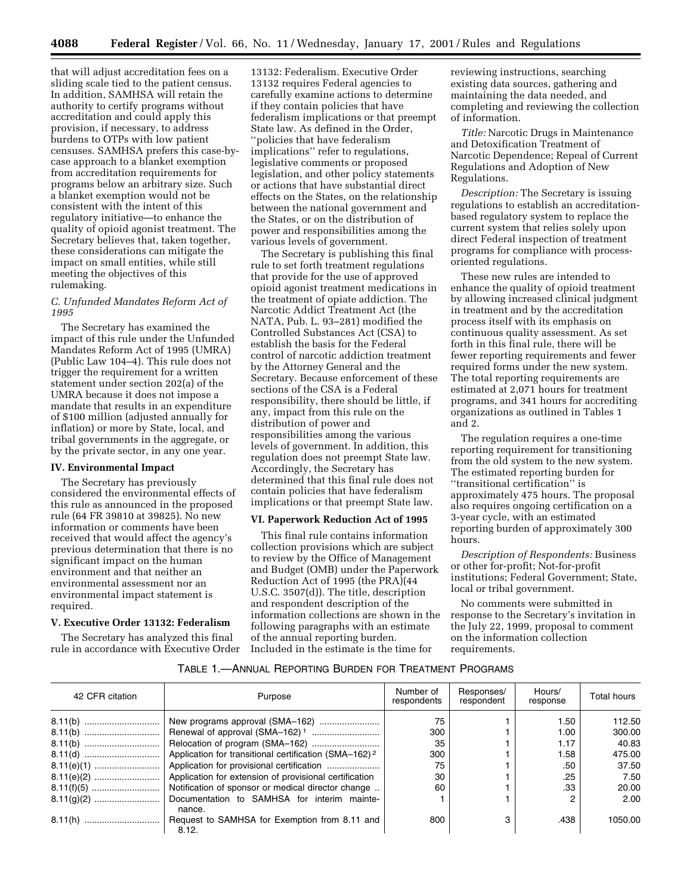that will adjust accreditation fees on a sliding scale tied to the patient census. In addition, SAMHSA will retain the authority to certify programs without accreditation and could apply this provision, if necessary, to address burdens to OTPs with low patient censuses. SAMHSA prefers this case-bycase approach to a blanket exemption from accreditation requirements for programs below an arbitrary size. Such a blanket exemption would not be consistent with the intent of this regulatory initiative—to enhance the quality of opioid agonist treatment. The Secretary believes that, taken together, these considerations can mitigate the impact on small entities, while still meeting the objectives of this rulemaking.

# *C. Unfunded Mandates Reform Act of 1995*

The Secretary has examined the impact of this rule under the Unfunded Mandates Reform Act of 1995 (UMRA) (Public Law 104–4). This rule does not trigger the requirement for a written statement under section 202(a) of the UMRA because it does not impose a mandate that results in an expenditure of \$100 million (adjusted annually for inflation) or more by State, local, and tribal governments in the aggregate, or by the private sector, in any one year.

## **IV. Environmental Impact**

The Secretary has previously considered the environmental effects of this rule as announced in the proposed rule (64 FR 39810 at 39825). No new information or comments have been received that would affect the agency's previous determination that there is no significant impact on the human environment and that neither an environmental assessment nor an environmental impact statement is required.

## **V. Executive Order 13132: Federalism**

The Secretary has analyzed this final rule in accordance with Executive Order 13132: Federalism. Executive Order 13132 requires Federal agencies to carefully examine actions to determine if they contain policies that have federalism implications or that preempt State law. As defined in the Order, ''policies that have federalism implications'' refer to regulations, legislative comments or proposed legislation, and other policy statements or actions that have substantial direct effects on the States, on the relationship between the national government and the States, or on the distribution of power and responsibilities among the various levels of government.

The Secretary is publishing this final rule to set forth treatment regulations that provide for the use of approved opioid agonist treatment medications in the treatment of opiate addiction. The Narcotic Addict Treatment Act (the NATA, Pub. L. 93–281) modified the Controlled Substances Act (CSA) to establish the basis for the Federal control of narcotic addiction treatment by the Attorney General and the Secretary. Because enforcement of these sections of the CSA is a Federal responsibility, there should be little, if any, impact from this rule on the distribution of power and responsibilities among the various levels of government. In addition, this regulation does not preempt State law. Accordingly, the Secretary has determined that this final rule does not contain policies that have federalism implications or that preempt State law.

# **VI. Paperwork Reduction Act of 1995**

This final rule contains information collection provisions which are subject to review by the Office of Management and Budget (OMB) under the Paperwork Reduction Act of 1995 (the PRA)(44 U.S.C. 3507(d)). The title, description and respondent description of the information collections are shown in the following paragraphs with an estimate of the annual reporting burden. Included in the estimate is the time for

reviewing instructions, searching existing data sources, gathering and maintaining the data needed, and completing and reviewing the collection of information.

*Title:* Narcotic Drugs in Maintenance and Detoxification Treatment of Narcotic Dependence; Repeal of Current Regulations and Adoption of New Regulations.

*Description:* The Secretary is issuing regulations to establish an accreditationbased regulatory system to replace the current system that relies solely upon direct Federal inspection of treatment programs for compliance with processoriented regulations.

These new rules are intended to enhance the quality of opioid treatment by allowing increased clinical judgment in treatment and by the accreditation process itself with its emphasis on continuous quality assessment. As set forth in this final rule, there will be fewer reporting requirements and fewer required forms under the new system. The total reporting requirements are estimated at 2,071 hours for treatment programs, and 341 hours for accrediting organizations as outlined in Tables 1 and 2.

The regulation requires a one-time reporting requirement for transitioning from the old system to the new system. The estimated reporting burden for ''transitional certification'' is approximately 475 hours. The proposal also requires ongoing certification on a 3-year cycle, with an estimated reporting burden of approximately 300 hours.

*Description of Respondents:* Business or other for-profit; Not-for-profit institutions; Federal Government; State, local or tribal government.

No comments were submitted in response to the Secretary's invitation in the July 22, 1999, proposal to comment on the information collection requirements.

# TABLE 1.—ANNUAL REPORTING BURDEN FOR TREATMENT PROGRAMS

| 42 CFR citation | Purpose                                                           | Number of<br>respondents | Responses/<br>respondent | Hours/<br>response | Total hours |
|-----------------|-------------------------------------------------------------------|--------------------------|--------------------------|--------------------|-------------|
|                 |                                                                   | 75                       |                          | 1.50               | 112.50      |
|                 |                                                                   | 300                      |                          | 1.00               | 300.00      |
|                 |                                                                   | 35                       |                          | 1.17               | 40.83       |
|                 | Application for transitional certification (SMA-162) <sup>2</sup> | 300                      |                          | 1.58               | 475.00      |
|                 |                                                                   | 75                       |                          | .50                | 37.50       |
|                 | Application for extension of provisional certification            | 30                       |                          | .25                | 7.50        |
|                 | Notification of sponsor or medical director change                | 60                       |                          | .33                | 20.00       |
|                 | Documentation to SAMHSA for interim mainte-<br>nance.             |                          |                          | 2                  | 2.00        |
|                 | Request to SAMHSA for Exemption from 8.11 and<br>8.12.            | 800                      | 3                        | .438               | 1050.00     |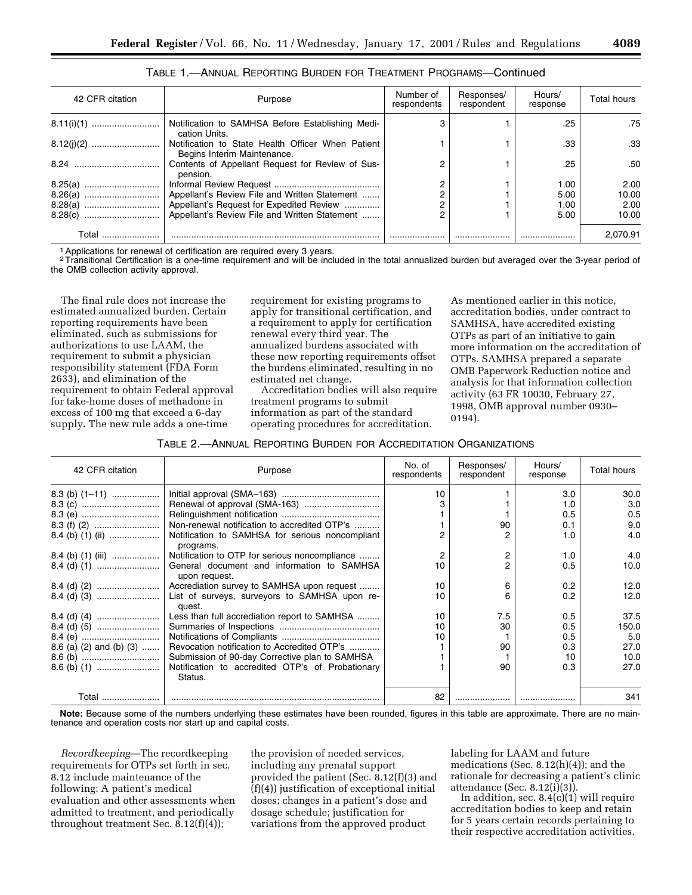| 42 CFR citation | Purpose                                                                          | Number of<br>respondents | Responses/<br>respondent | Hours/<br>response | Total hours |
|-----------------|----------------------------------------------------------------------------------|--------------------------|--------------------------|--------------------|-------------|
|                 | Notification to SAMHSA Before Establishing Medi-<br>cation Units.                |                          |                          | .25                | .75         |
|                 | Notification to State Health Officer When Patient<br>Begins Interim Maintenance. |                          |                          | .33                | .33         |
|                 | Contents of Appellant Request for Review of Sus-<br>pension.                     |                          |                          | .25                | .50         |
| 8.25(a)         |                                                                                  |                          |                          | 1.00               | 2.00        |
|                 | Appellant's Review File and Written Statement                                    |                          |                          | 5.00               | 10.00       |
|                 | Appellant's Request for Expedited Review                                         |                          |                          | 1.00               | 2.00        |
|                 | Appellant's Review File and Written Statement                                    |                          |                          | 5.00               | 10.00       |
| Total           |                                                                                  |                          |                          |                    | 2.070.91    |

|  | TABLE 1.—ANNUAL REPORTING BURDEN FOR TREATMENT PROGRAMS—Continued |  |  |  |
|--|-------------------------------------------------------------------|--|--|--|
|--|-------------------------------------------------------------------|--|--|--|

<sup>1</sup> Applications for renewal of certification are required every 3 years.

2Transitional Certification is a one-time requirement and will be included in the total annualized burden but averaged over the 3-year period of the OMB collection activity approval.

The final rule does not increase the estimated annualized burden. Certain reporting requirements have been eliminated, such as submissions for authorizations to use LAAM, the requirement to submit a physician responsibility statement (FDA Form 2633), and elimination of the requirement to obtain Federal approval for take-home doses of methadone in excess of 100 mg that exceed a 6-day supply. The new rule adds a one-time

requirement for existing programs to apply for transitional certification, and a requirement to apply for certification renewal every third year. The annualized burdens associated with these new reporting requirements offset the burdens eliminated, resulting in no estimated net change.

Accreditation bodies will also require treatment programs to submit information as part of the standard operating procedures for accreditation.

As mentioned earlier in this notice, accreditation bodies, under contract to SAMHSA, have accredited existing OTPs as part of an initiative to gain more information on the accreditation of OTPs. SAMHSA prepared a separate OMB Paperwork Reduction notice and analysis for that information collection activity (63 FR 10030, February 27, 1998, OMB approval number 0930– 0194).

| TABLE 2.—ANNUAL REPORTING BURDEN FOR ACCREDITATION ORGANIZATIONS |  |
|------------------------------------------------------------------|--|
|------------------------------------------------------------------|--|

| 42 CFR citation         | Purpose                                                      | No. of<br>respondents | Responses/<br>respondent | Hours/<br>response | Total hours |
|-------------------------|--------------------------------------------------------------|-----------------------|--------------------------|--------------------|-------------|
| 8.3 (b) $(1-11)$        |                                                              | 10                    |                          | 3.0                | 30.0        |
|                         |                                                              |                       |                          | 1.0                | 3.0         |
|                         |                                                              |                       |                          | 0.5                | 0.5         |
|                         | Non-renewal notification to accredited OTP's                 |                       | 90                       | 0.1                | 9.0         |
|                         | Notification to SAMHSA for serious noncompliant<br>programs. |                       |                          | 1.0                | 4.0         |
| 8.4 (b) (1) (iii)       | Notification to OTP for serious noncompliance                |                       | 2                        | 1.0                | 4.0         |
|                         | General document and information to SAMHSA<br>upon request.  | 10                    | 2                        | 0.5                | 10.0        |
|                         | Accrediation survey to SAMHSA upon request                   | 10                    | 6                        | 0.2                | 12.0        |
|                         | List of surveys, surveyors to SAMHSA upon re-<br>quest.      | 10                    |                          | 0.2                | 12.0        |
|                         | Less than full accrediation report to SAMHSA                 | 10                    | 7.5                      | 0.5                | 37.5        |
|                         |                                                              | 10                    | 30                       | 0.5                | 150.0       |
|                         |                                                              | 10                    |                          | 0.5                | 5.0         |
| 8.6 (a) (2) and (b) (3) | Revocation notification to Accredited OTP's                  |                       | 90                       | 0.3                | 27.0        |
|                         | Submission of 90-day Corrective plan to SAMHSA               |                       |                          | 10                 | 10.0        |
|                         | Notification to accredited OTP's of Probationary<br>Status.  |                       | 90                       | 0.3                | 27.0        |
|                         |                                                              | 82                    |                          |                    | 341         |

**Note:** Because some of the numbers underlying these estimates have been rounded, figures in this table are approximate. There are no maintenance and operation costs nor start up and capital costs.

*Recordkeeping*—The recordkeeping requirements for OTPs set forth in sec. 8.12 include maintenance of the following: A patient's medical evaluation and other assessments when admitted to treatment, and periodically throughout treatment Sec. 8.12(f)(4));

the provision of needed services, including any prenatal support provided the patient (Sec. 8.12(f)(3) and (f)(4)) justification of exceptional initial doses; changes in a patient's dose and dosage schedule; justification for variations from the approved product

labeling for LAAM and future medications (Sec. 8.12(h)(4)); and the rationale for decreasing a patient's clinic attendance (Sec.  $8.12(i)(3)$ ).

In addition, sec. 8.4(c)(1) will require accreditation bodies to keep and retain for 5 years certain records pertaining to their respective accreditation activities.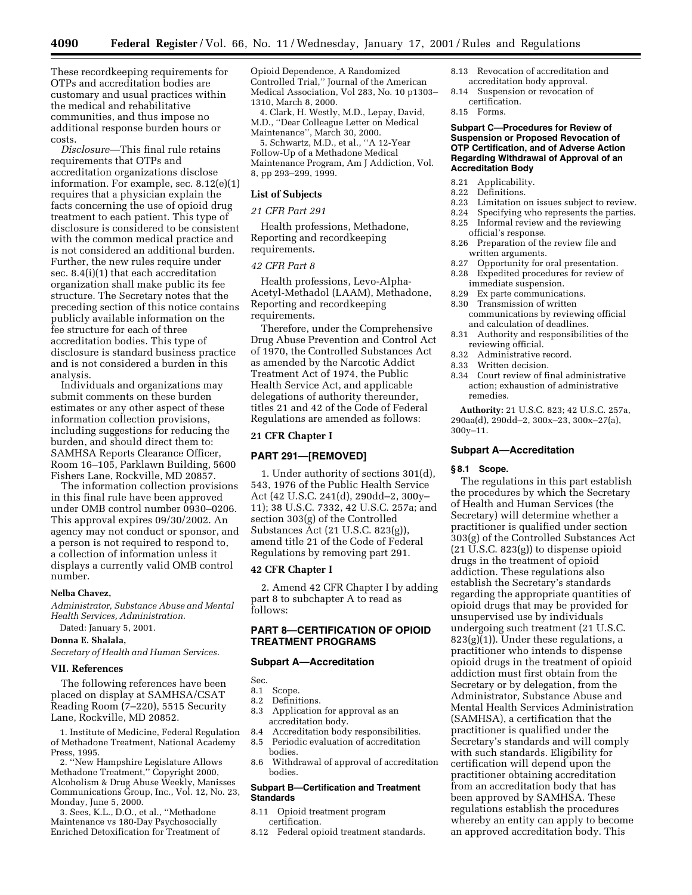These recordkeeping requirements for OTPs and accreditation bodies are customary and usual practices within the medical and rehabilitative communities, and thus impose no additional response burden hours or costs.

*Disclosure*—This final rule retains requirements that OTPs and accreditation organizations disclose information. For example, sec. 8.12(e)(1) requires that a physician explain the facts concerning the use of opioid drug treatment to each patient. This type of disclosure is considered to be consistent with the common medical practice and is not considered an additional burden. Further, the new rules require under sec. 8.4(i)(1) that each accreditation organization shall make public its fee structure. The Secretary notes that the preceding section of this notice contains publicly available information on the fee structure for each of three accreditation bodies. This type of disclosure is standard business practice and is not considered a burden in this analysis.

Individuals and organizations may submit comments on these burden estimates or any other aspect of these information collection provisions, including suggestions for reducing the burden, and should direct them to: SAMHSA Reports Clearance Officer, Room 16–105, Parklawn Building, 5600 Fishers Lane, Rockville, MD 20857.

The information collection provisions in this final rule have been approved under OMB control number 0930–0206. This approval expires 09/30/2002. An agency may not conduct or sponsor, and a person is not required to respond to, a collection of information unless it displays a currently valid OMB control number.

#### **Nelba Chavez,**

*Administrator, Substance Abuse and Mental Health Services, Administration.*

Dated: January 5, 2001.

## **Donna E. Shalala,**

*Secretary of Health and Human Services.*

## **VII. References**

The following references have been placed on display at SAMHSA/CSAT Reading Room (7–220), 5515 Security Lane, Rockville, MD 20852.

1. Institute of Medicine, Federal Regulation of Methadone Treatment, National Academy Press, 1995.

2. ''New Hampshire Legislature Allows Methadone Treatment,'' Copyright 2000, Alcoholism & Drug Abuse Weekly, Manisses Communications Group, Inc., Vol. 12, No. 23, Monday, June 5, 2000.

3. Sees, K.L., D.O., et al., ''Methadone Maintenance vs 180-Day Psychosocially Enriched Detoxification for Treatment of Opioid Dependence, A Randomized Controlled Trial,'' Journal of the American Medical Association, Vol 283, No. 10 p1303– 1310, March 8, 2000.

4. Clark, H. Westly, M.D., Lepay, David, M.D., ''Dear Colleague Letter on Medical Maintenance'', March 30, 2000.

5. Schwartz, M.D., et al., ''A 12-Year Follow-Up of a Methadone Medical Maintenance Program, Am J Addiction, Vol. 8, pp 293–299, 1999.

## **List of Subjects**

#### *21 CFR Part 291*

Health professions, Methadone, Reporting and recordkeeping requirements.

# *42 CFR Part 8*

Health professions, Levo-Alpha-Acetyl-Methadol (LAAM), Methadone, Reporting and recordkeeping requirements.

Therefore, under the Comprehensive Drug Abuse Prevention and Control Act of 1970, the Controlled Substances Act as amended by the Narcotic Addict Treatment Act of 1974, the Public Health Service Act, and applicable delegations of authority thereunder, titles 21 and 42 of the Code of Federal Regulations are amended as follows:

## **21 CFR Chapter I**

#### **PART 291—[REMOVED]**

1. Under authority of sections 301(d), 543, 1976 of the Public Health Service Act (42 U.S.C. 241(d), 290dd–2, 300y– 11); 38 U.S.C. 7332, 42 U.S.C. 257a; and section 303(g) of the Controlled Substances Act (21 U.S.C. 823(g)), amend title 21 of the Code of Federal Regulations by removing part 291.

# **42 CFR Chapter I**

2. Amend 42 CFR Chapter I by adding part 8 to subchapter A to read as follows:

# **PART 8—CERTIFICATION OF OPIOID TREATMENT PROGRAMS**

#### **Subpart A—Accreditation**

Sec.

- 
- 8.1 Scope.<br>8.2 Definit Definitions.
- 8.3 Application for approval as an accreditation body.
- 8.4 Accreditation body responsibilities.
- 8.5 Periodic evaluation of accreditation bodies.
- 8.6 Withdrawal of approval of accreditation bodies.

#### **Subpart B—Certification and Treatment Standards**

- 8.11 Opioid treatment program certification.
- 8.12 Federal opioid treatment standards.
- 8.13 Revocation of accreditation and accreditation body approval.
- 8.14 Suspension or revocation of certification.
- 8.15 Forms.

#### **Subpart C—Procedures for Review of Suspension or Proposed Revocation of OTP Certification, and of Adverse Action Regarding Withdrawal of Approval of an Accreditation Body**

- 8.21 Applicability.
- 8.22 Definitions.<br>8.23 Limitation
- 8.23 Limitation on issues subject to review.<br>8.24 Specifying who represents the parties.
- 8.24 Specifying who represents the parties.<br>8.25 Informal review and the reviewing
- Informal review and the reviewing official's response.
- 8.26 Preparation of the review file and written arguments.<br>8.27 Opportunity for a
- Opportunity for oral presentation.
- 8.28 Expedited procedures for review of immediate suspension.
- 8.29 Ex parte communications.<br>8.30 Transmission of written
- Transmission of written communications by reviewing official and calculation of deadlines.
- 8.31 Authority and responsibilities of the reviewing official.
- 8.32 Administrative record.<br>8.33 Written decision
- Written decision.
- 8.34 Court review of final administrative action; exhaustion of administrative remedies.

**Authority:** 21 U.S.C. 823; 42 U.S.C. 257a, 290aa(d), 290dd–2, 300x–23, 300x–27(a), 300y–11.

## **Subpart A—Accreditation**

#### **§ 8.1 Scope.**

The regulations in this part establish the procedures by which the Secretary of Health and Human Services (the Secretary) will determine whether a practitioner is qualified under section 303(g) of the Controlled Substances Act (21 U.S.C. 823(g)) to dispense opioid drugs in the treatment of opioid addiction. These regulations also establish the Secretary's standards regarding the appropriate quantities of opioid drugs that may be provided for unsupervised use by individuals undergoing such treatment (21 U.S.C. 823(g)(1)). Under these regulations, a practitioner who intends to dispense opioid drugs in the treatment of opioid addiction must first obtain from the Secretary or by delegation, from the Administrator, Substance Abuse and Mental Health Services Administration (SAMHSA), a certification that the practitioner is qualified under the Secretary's standards and will comply with such standards. Eligibility for certification will depend upon the practitioner obtaining accreditation from an accreditation body that has been approved by SAMHSA. These regulations establish the procedures whereby an entity can apply to become an approved accreditation body. This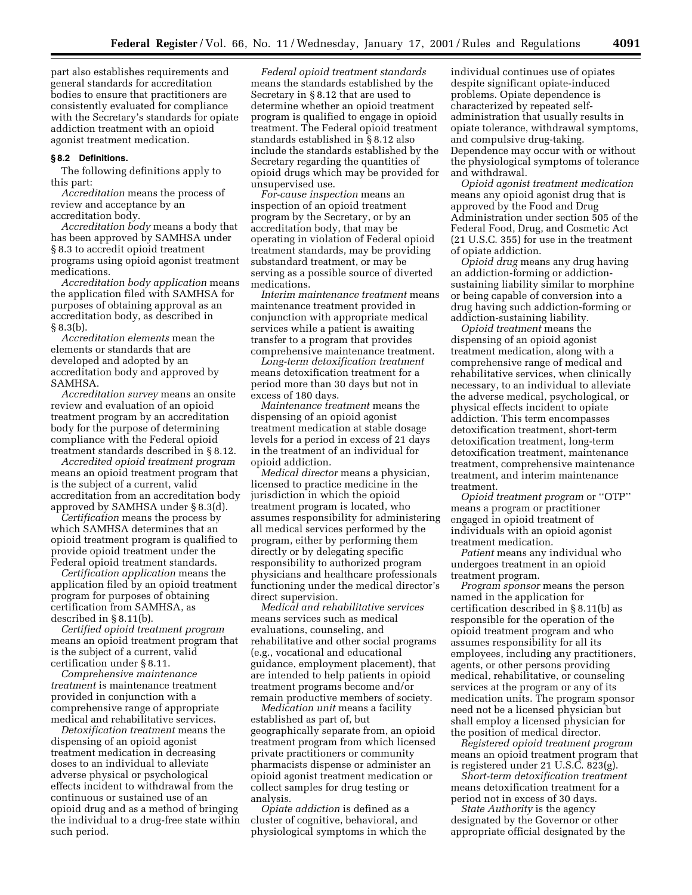part also establishes requirements and general standards for accreditation bodies to ensure that practitioners are consistently evaluated for compliance with the Secretary's standards for opiate addiction treatment with an opioid agonist treatment medication.

#### **§ 8.2 Definitions.**

The following definitions apply to this part:

*Accreditation* means the process of review and acceptance by an accreditation body.

*Accreditation body* means a body that has been approved by SAMHSA under § 8.3 to accredit opioid treatment programs using opioid agonist treatment medications.

*Accreditation body application* means the application filed with SAMHSA for purposes of obtaining approval as an accreditation body, as described in § 8.3(b).

*Accreditation elements* mean the elements or standards that are developed and adopted by an accreditation body and approved by SAMHSA.

*Accreditation survey* means an onsite review and evaluation of an opioid treatment program by an accreditation body for the purpose of determining compliance with the Federal opioid treatment standards described in § 8.12.

*Accredited opioid treatment program* means an opioid treatment program that is the subject of a current, valid accreditation from an accreditation body approved by SAMHSA under § 8.3(d).

*Certification* means the process by which SAMHSA determines that an opioid treatment program is qualified to provide opioid treatment under the Federal opioid treatment standards.

*Certification application* means the application filed by an opioid treatment program for purposes of obtaining certification from SAMHSA, as described in § 8.11(b).

*Certified opioid treatment program* means an opioid treatment program that is the subject of a current, valid certification under § 8.11.

*Comprehensive maintenance treatment* is maintenance treatment provided in conjunction with a comprehensive range of appropriate medical and rehabilitative services.

*Detoxification treatment* means the dispensing of an opioid agonist treatment medication in decreasing doses to an individual to alleviate adverse physical or psychological effects incident to withdrawal from the continuous or sustained use of an opioid drug and as a method of bringing the individual to a drug-free state within such period.

*Federal opioid treatment standards* means the standards established by the Secretary in § 8.12 that are used to determine whether an opioid treatment program is qualified to engage in opioid treatment. The Federal opioid treatment standards established in § 8.12 also include the standards established by the Secretary regarding the quantities of opioid drugs which may be provided for unsupervised use.

*For-cause inspection* means an inspection of an opioid treatment program by the Secretary, or by an accreditation body, that may be operating in violation of Federal opioid treatment standards, may be providing substandard treatment, or may be serving as a possible source of diverted medications.

*Interim maintenance treatment* means maintenance treatment provided in conjunction with appropriate medical services while a patient is awaiting transfer to a program that provides comprehensive maintenance treatment.

*Long-term detoxification treatment* means detoxification treatment for a period more than 30 days but not in excess of 180 days.

*Maintenance treatment* means the dispensing of an opioid agonist treatment medication at stable dosage levels for a period in excess of 21 days in the treatment of an individual for opioid addiction.

*Medical director* means a physician, licensed to practice medicine in the jurisdiction in which the opioid treatment program is located, who assumes responsibility for administering all medical services performed by the program, either by performing them directly or by delegating specific responsibility to authorized program physicians and healthcare professionals functioning under the medical director's direct supervision.

*Medical and rehabilitative services* means services such as medical evaluations, counseling, and rehabilitative and other social programs (e.g., vocational and educational guidance, employment placement), that are intended to help patients in opioid treatment programs become and/or remain productive members of society.

*Medication unit* means a facility established as part of, but geographically separate from, an opioid treatment program from which licensed private practitioners or community pharmacists dispense or administer an opioid agonist treatment medication or collect samples for drug testing or analysis.

*Opiate addiction* is defined as a cluster of cognitive, behavioral, and physiological symptoms in which the

individual continues use of opiates despite significant opiate-induced problems. Opiate dependence is characterized by repeated selfadministration that usually results in opiate tolerance, withdrawal symptoms, and compulsive drug-taking. Dependence may occur with or without the physiological symptoms of tolerance and withdrawal.

*Opioid agonist treatment medication* means any opioid agonist drug that is approved by the Food and Drug Administration under section 505 of the Federal Food, Drug, and Cosmetic Act (21 U.S.C. 355) for use in the treatment of opiate addiction.

*Opioid drug* means any drug having an addiction-forming or addictionsustaining liability similar to morphine or being capable of conversion into a drug having such addiction-forming or addiction-sustaining liability.

*Opioid treatment* means the dispensing of an opioid agonist treatment medication, along with a comprehensive range of medical and rehabilitative services, when clinically necessary, to an individual to alleviate the adverse medical, psychological, or physical effects incident to opiate addiction. This term encompasses detoxification treatment, short-term detoxification treatment, long-term detoxification treatment, maintenance treatment, comprehensive maintenance treatment, and interim maintenance treatment.

*Opioid treatment program* or ''OTP'' means a program or practitioner engaged in opioid treatment of individuals with an opioid agonist treatment medication.

*Patient* means any individual who undergoes treatment in an opioid treatment program.

*Program sponsor* means the person named in the application for certification described in § 8.11(b) as responsible for the operation of the opioid treatment program and who assumes responsibility for all its employees, including any practitioners, agents, or other persons providing medical, rehabilitative, or counseling services at the program or any of its medication units. The program sponsor need not be a licensed physician but shall employ a licensed physician for the position of medical director.

*Registered opioid treatment program* means an opioid treatment program that is registered under 21 U.S.C. 823(g).

*Short-term detoxification treatment* means detoxification treatment for a period not in excess of 30 days.

*State Authority* is the agency designated by the Governor or other appropriate official designated by the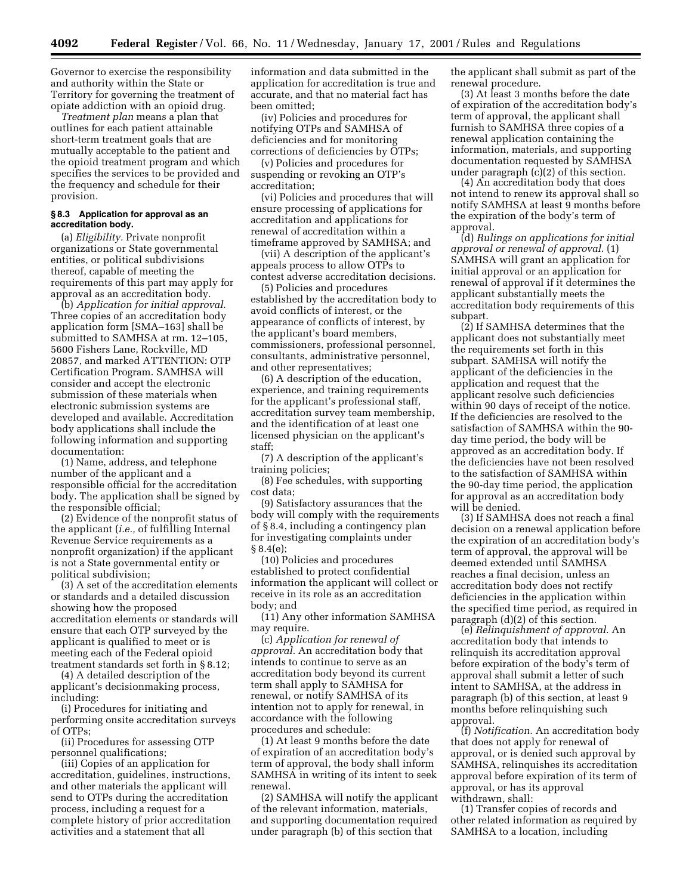Governor to exercise the responsibility and authority within the State or Territory for governing the treatment of opiate addiction with an opioid drug.

*Treatment plan* means a plan that outlines for each patient attainable short-term treatment goals that are mutually acceptable to the patient and the opioid treatment program and which specifies the services to be provided and the frequency and schedule for their provision.

# **§ 8.3 Application for approval as an accreditation body.**

(a) *Eligibility.* Private nonprofit organizations or State governmental entities, or political subdivisions thereof, capable of meeting the requirements of this part may apply for approval as an accreditation body.

(b) *Application for initial approval.* Three copies of an accreditation body application form [SMA–163] shall be submitted to SAMHSA at rm. 12–105, 5600 Fishers Lane, Rockville, MD 20857, and marked ATTENTION: OTP Certification Program. SAMHSA will consider and accept the electronic submission of these materials when electronic submission systems are developed and available. Accreditation body applications shall include the following information and supporting documentation:

(1) Name, address, and telephone number of the applicant and a responsible official for the accreditation body. The application shall be signed by the responsible official;

(2) Evidence of the nonprofit status of the applicant (*i.e.,* of fulfilling Internal Revenue Service requirements as a nonprofit organization) if the applicant is not a State governmental entity or political subdivision;

(3) A set of the accreditation elements or standards and a detailed discussion showing how the proposed accreditation elements or standards will ensure that each OTP surveyed by the applicant is qualified to meet or is meeting each of the Federal opioid treatment standards set forth in § 8.12;

(4) A detailed description of the applicant's decisionmaking process, including:

(i) Procedures for initiating and performing onsite accreditation surveys of OTPs;

(ii) Procedures for assessing OTP personnel qualifications;

(iii) Copies of an application for accreditation, guidelines, instructions, and other materials the applicant will send to OTPs during the accreditation process, including a request for a complete history of prior accreditation activities and a statement that all

information and data submitted in the application for accreditation is true and accurate, and that no material fact has been omitted;

(iv) Policies and procedures for notifying OTPs and SAMHSA of deficiencies and for monitoring corrections of deficiencies by OTPs;

(v) Policies and procedures for suspending or revoking an OTP's accreditation;

(vi) Policies and procedures that will ensure processing of applications for accreditation and applications for renewal of accreditation within a timeframe approved by SAMHSA; and

(vii) A description of the applicant's appeals process to allow OTPs to contest adverse accreditation decisions.

(5) Policies and procedures established by the accreditation body to avoid conflicts of interest, or the appearance of conflicts of interest, by the applicant's board members, commissioners, professional personnel, consultants, administrative personnel, and other representatives;

(6) A description of the education, experience, and training requirements for the applicant's professional staff, accreditation survey team membership, and the identification of at least one licensed physician on the applicant's staff;

(7) A description of the applicant's training policies;

(8) Fee schedules, with supporting cost data;

(9) Satisfactory assurances that the body will comply with the requirements of § 8.4, including a contingency plan for investigating complaints under § 8.4(e);

(10) Policies and procedures established to protect confidential information the applicant will collect or receive in its role as an accreditation body; and

(11) Any other information SAMHSA may require.

(c) *Application for renewal of approval.* An accreditation body that intends to continue to serve as an accreditation body beyond its current term shall apply to SAMHSA for renewal, or notify SAMHSA of its intention not to apply for renewal, in accordance with the following procedures and schedule:

(1) At least 9 months before the date of expiration of an accreditation body's term of approval, the body shall inform SAMHSA in writing of its intent to seek renewal.

(2) SAMHSA will notify the applicant of the relevant information, materials, and supporting documentation required under paragraph (b) of this section that

the applicant shall submit as part of the renewal procedure.

(3) At least 3 months before the date of expiration of the accreditation body's term of approval, the applicant shall furnish to SAMHSA three copies of a renewal application containing the information, materials, and supporting documentation requested by SAMHSA under paragraph (c)(2) of this section.

(4) An accreditation body that does not intend to renew its approval shall so notify SAMHSA at least 9 months before the expiration of the body's term of approval.

(d) *Rulings on applications for initial approval or renewal of approval.* (1) SAMHSA will grant an application for initial approval or an application for renewal of approval if it determines the applicant substantially meets the accreditation body requirements of this subpart.

(2) If SAMHSA determines that the applicant does not substantially meet the requirements set forth in this subpart. SAMHSA will notify the applicant of the deficiencies in the application and request that the applicant resolve such deficiencies within 90 days of receipt of the notice. If the deficiencies are resolved to the satisfaction of SAMHSA within the 90 day time period, the body will be approved as an accreditation body. If the deficiencies have not been resolved to the satisfaction of SAMHSA within the 90-day time period, the application for approval as an accreditation body will be denied.

(3) If SAMHSA does not reach a final decision on a renewal application before the expiration of an accreditation body's term of approval, the approval will be deemed extended until SAMHSA reaches a final decision, unless an accreditation body does not rectify deficiencies in the application within the specified time period, as required in paragraph (d)(2) of this section.

(e) *Relinquishment of approval.* An accreditation body that intends to relinquish its accreditation approval before expiration of the body's term of approval shall submit a letter of such intent to SAMHSA, at the address in paragraph (b) of this section, at least 9 months before relinquishing such approval.

(f) *Notification.* An accreditation body that does not apply for renewal of approval, or is denied such approval by SAMHSA, relinquishes its accreditation approval before expiration of its term of approval, or has its approval withdrawn, shall:

(1) Transfer copies of records and other related information as required by SAMHSA to a location, including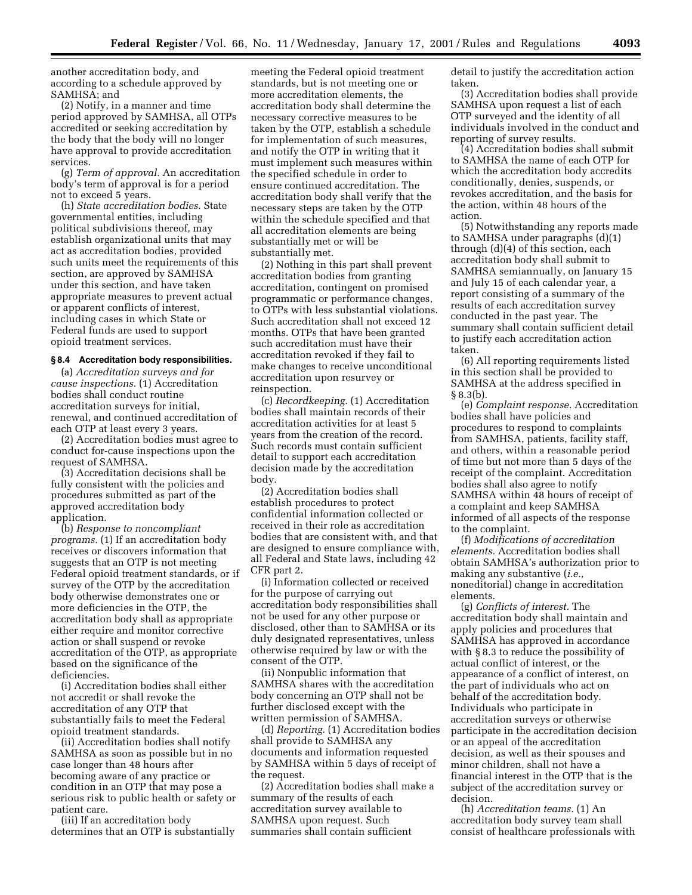another accreditation body, and according to a schedule approved by SAMHSA; and

(2) Notify, in a manner and time period approved by SAMHSA, all OTPs accredited or seeking accreditation by the body that the body will no longer have approval to provide accreditation services.

(g) *Term of approval.* An accreditation body's term of approval is for a period not to exceed 5 years.

(h) *State accreditation bodies.* State governmental entities, including political subdivisions thereof, may establish organizational units that may act as accreditation bodies, provided such units meet the requirements of this section, are approved by SAMHSA under this section, and have taken appropriate measures to prevent actual or apparent conflicts of interest, including cases in which State or Federal funds are used to support opioid treatment services.

#### **§ 8.4 Accreditation body responsibilities.**

(a) *Accreditation surveys and for cause inspections.* (1) Accreditation bodies shall conduct routine accreditation surveys for initial, renewal, and continued accreditation of each OTP at least every 3 years.

(2) Accreditation bodies must agree to conduct for-cause inspections upon the request of SAMHSA.

(3) Accreditation decisions shall be fully consistent with the policies and procedures submitted as part of the approved accreditation body application.

(b) *Response to noncompliant programs.* (1) If an accreditation body receives or discovers information that suggests that an OTP is not meeting Federal opioid treatment standards, or if survey of the OTP by the accreditation body otherwise demonstrates one or more deficiencies in the OTP, the accreditation body shall as appropriate either require and monitor corrective action or shall suspend or revoke accreditation of the OTP, as appropriate based on the significance of the deficiencies.

(i) Accreditation bodies shall either not accredit or shall revoke the accreditation of any OTP that substantially fails to meet the Federal opioid treatment standards.

(ii) Accreditation bodies shall notify SAMHSA as soon as possible but in no case longer than 48 hours after becoming aware of any practice or condition in an OTP that may pose a serious risk to public health or safety or patient care.

(iii) If an accreditation body determines that an OTP is substantially

meeting the Federal opioid treatment standards, but is not meeting one or more accreditation elements, the accreditation body shall determine the necessary corrective measures to be taken by the OTP, establish a schedule for implementation of such measures, and notify the OTP in writing that it must implement such measures within the specified schedule in order to ensure continued accreditation. The accreditation body shall verify that the necessary steps are taken by the OTP within the schedule specified and that all accreditation elements are being substantially met or will be substantially met.

(2) Nothing in this part shall prevent accreditation bodies from granting accreditation, contingent on promised programmatic or performance changes, to OTPs with less substantial violations. Such accreditation shall not exceed 12 months. OTPs that have been granted such accreditation must have their accreditation revoked if they fail to make changes to receive unconditional accreditation upon resurvey or reinspection.

(c) *Recordkeeping.* (1) Accreditation bodies shall maintain records of their accreditation activities for at least 5 years from the creation of the record. Such records must contain sufficient detail to support each accreditation decision made by the accreditation body.

(2) Accreditation bodies shall establish procedures to protect confidential information collected or received in their role as accreditation bodies that are consistent with, and that are designed to ensure compliance with, all Federal and State laws, including 42 CFR part 2.

(i) Information collected or received for the purpose of carrying out accreditation body responsibilities shall not be used for any other purpose or disclosed, other than to SAMHSA or its duly designated representatives, unless otherwise required by law or with the consent of the OTP.

(ii) Nonpublic information that SAMHSA shares with the accreditation body concerning an OTP shall not be further disclosed except with the written permission of SAMHSA.

(d) *Reporting.* (1) Accreditation bodies shall provide to SAMHSA any documents and information requested by SAMHSA within 5 days of receipt of the request.

(2) Accreditation bodies shall make a summary of the results of each accreditation survey available to SAMHSA upon request. Such summaries shall contain sufficient

detail to justify the accreditation action taken.

(3) Accreditation bodies shall provide SAMHSA upon request a list of each OTP surveyed and the identity of all individuals involved in the conduct and reporting of survey results.

(4) Accreditation bodies shall submit to SAMHSA the name of each OTP for which the accreditation body accredits conditionally, denies, suspends, or revokes accreditation, and the basis for the action, within 48 hours of the action.

(5) Notwithstanding any reports made to SAMHSA under paragraphs (d)(1) through (d)(4) of this section, each accreditation body shall submit to SAMHSA semiannually, on January 15 and July 15 of each calendar year, a report consisting of a summary of the results of each accreditation survey conducted in the past year. The summary shall contain sufficient detail to justify each accreditation action taken.

(6) All reporting requirements listed in this section shall be provided to SAMHSA at the address specified in § 8.3(b).

(e) *Complaint response.* Accreditation bodies shall have policies and procedures to respond to complaints from SAMHSA, patients, facility staff, and others, within a reasonable period of time but not more than 5 days of the receipt of the complaint. Accreditation bodies shall also agree to notify SAMHSA within 48 hours of receipt of a complaint and keep SAMHSA informed of all aspects of the response to the complaint.

(f) *Modifications of accreditation elements.* Accreditation bodies shall obtain SAMHSA's authorization prior to making any substantive (*i.e.,* noneditorial) change in accreditation elements.

(g) *Conflicts of interest.* The accreditation body shall maintain and apply policies and procedures that SAMHSA has approved in accordance with § 8.3 to reduce the possibility of actual conflict of interest, or the appearance of a conflict of interest, on the part of individuals who act on behalf of the accreditation body. Individuals who participate in accreditation surveys or otherwise participate in the accreditation decision or an appeal of the accreditation decision, as well as their spouses and minor children, shall not have a financial interest in the OTP that is the subject of the accreditation survey or decision.

(h) *Accreditation teams.* (1) An accreditation body survey team shall consist of healthcare professionals with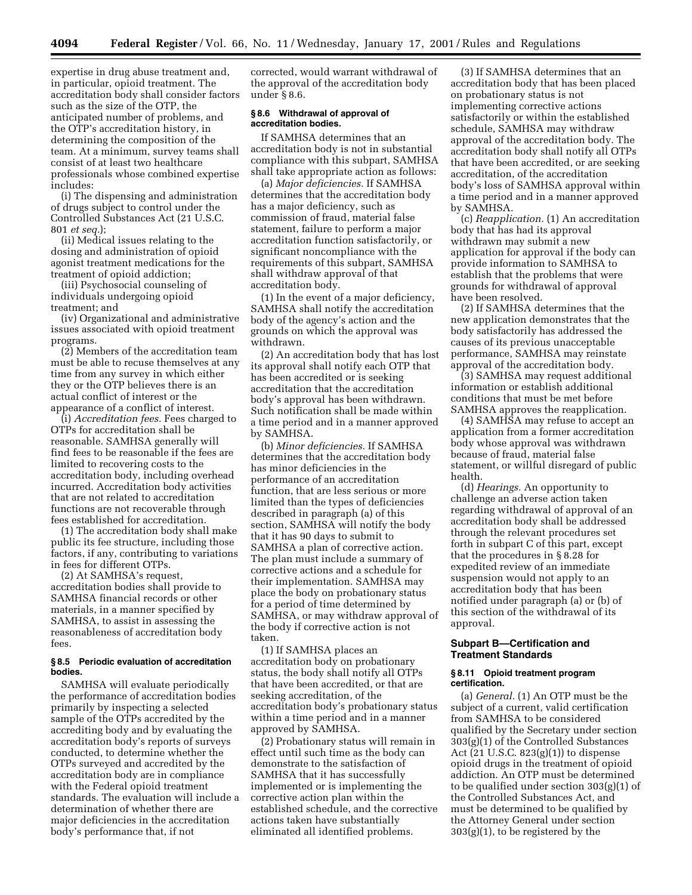expertise in drug abuse treatment and, in particular, opioid treatment. The accreditation body shall consider factors such as the size of the OTP, the anticipated number of problems, and the OTP's accreditation history, in determining the composition of the team. At a minimum, survey teams shall consist of at least two healthcare professionals whose combined expertise includes:

(i) The dispensing and administration of drugs subject to control under the Controlled Substances Act (21 U.S.C. 801 *et seq.*);

(ii) Medical issues relating to the dosing and administration of opioid agonist treatment medications for the treatment of opioid addiction;

(iii) Psychosocial counseling of individuals undergoing opioid treatment; and

(iv) Organizational and administrative issues associated with opioid treatment programs.

(2) Members of the accreditation team must be able to recuse themselves at any time from any survey in which either they or the OTP believes there is an actual conflict of interest or the appearance of a conflict of interest.

(i) *Accreditation fees.* Fees charged to OTPs for accreditation shall be reasonable. SAMHSA generally will find fees to be reasonable if the fees are limited to recovering costs to the accreditation body, including overhead incurred. Accreditation body activities that are not related to accreditation functions are not recoverable through fees established for accreditation.

(1) The accreditation body shall make public its fee structure, including those factors, if any, contributing to variations in fees for different OTPs.

(2) At SAMHSA's request, accreditation bodies shall provide to SAMHSA financial records or other materials, in a manner specified by SAMHSA, to assist in assessing the reasonableness of accreditation body fees.

# **§ 8.5 Periodic evaluation of accreditation bodies.**

SAMHSA will evaluate periodically the performance of accreditation bodies primarily by inspecting a selected sample of the OTPs accredited by the accrediting body and by evaluating the accreditation body's reports of surveys conducted, to determine whether the OTPs surveyed and accredited by the accreditation body are in compliance with the Federal opioid treatment standards. The evaluation will include a determination of whether there are major deficiencies in the accreditation body's performance that, if not

corrected, would warrant withdrawal of the approval of the accreditation body under § 8.6.

### **§ 8.6 Withdrawal of approval of accreditation bodies.**

If SAMHSA determines that an accreditation body is not in substantial compliance with this subpart, SAMHSA shall take appropriate action as follows:

(a) *Major deficiencies.* If SAMHSA determines that the accreditation body has a major deficiency, such as commission of fraud, material false statement, failure to perform a major accreditation function satisfactorily, or significant noncompliance with the requirements of this subpart, SAMHSA shall withdraw approval of that accreditation body.

(1) In the event of a major deficiency, SAMHSA shall notify the accreditation body of the agency's action and the grounds on which the approval was withdrawn.

(2) An accreditation body that has lost its approval shall notify each OTP that has been accredited or is seeking accreditation that the accreditation body's approval has been withdrawn. Such notification shall be made within a time period and in a manner approved by SAMHSA.

(b) *Minor deficiencies.* If SAMHSA determines that the accreditation body has minor deficiencies in the performance of an accreditation function, that are less serious or more limited than the types of deficiencies described in paragraph (a) of this section, SAMHSA will notify the body that it has 90 days to submit to SAMHSA a plan of corrective action. The plan must include a summary of corrective actions and a schedule for their implementation. SAMHSA may place the body on probationary status for a period of time determined by SAMHSA, or may withdraw approval of the body if corrective action is not taken.

(1) If SAMHSA places an accreditation body on probationary status, the body shall notify all OTPs that have been accredited, or that are seeking accreditation, of the accreditation body's probationary status within a time period and in a manner approved by SAMHSA.

(2) Probationary status will remain in effect until such time as the body can demonstrate to the satisfaction of SAMHSA that it has successfully implemented or is implementing the corrective action plan within the established schedule, and the corrective actions taken have substantially eliminated all identified problems.

(3) If SAMHSA determines that an accreditation body that has been placed on probationary status is not implementing corrective actions satisfactorily or within the established schedule, SAMHSA may withdraw approval of the accreditation body. The accreditation body shall notify all OTPs that have been accredited, or are seeking accreditation, of the accreditation body's loss of SAMHSA approval within a time period and in a manner approved by SAMHSA.

(c) *Reapplication.* (1) An accreditation body that has had its approval withdrawn may submit a new application for approval if the body can provide information to SAMHSA to establish that the problems that were grounds for withdrawal of approval have been resolved.

(2) If SAMHSA determines that the new application demonstrates that the body satisfactorily has addressed the causes of its previous unacceptable performance, SAMHSA may reinstate approval of the accreditation body.

(3) SAMHSA may request additional information or establish additional conditions that must be met before SAMHSA approves the reapplication.

(4) SAMHSA may refuse to accept an application from a former accreditation body whose approval was withdrawn because of fraud, material false statement, or willful disregard of public health.

(d) *Hearings.* An opportunity to challenge an adverse action taken regarding withdrawal of approval of an accreditation body shall be addressed through the relevant procedures set forth in subpart C of this part, except that the procedures in § 8.28 for expedited review of an immediate suspension would not apply to an accreditation body that has been notified under paragraph (a) or (b) of this section of the withdrawal of its approval.

# **Subpart B—Certification and Treatment Standards**

#### **§ 8.11 Opioid treatment program certification.**

(a) *General.* (1) An OTP must be the subject of a current, valid certification from SAMHSA to be considered qualified by the Secretary under section 303(g)(1) of the Controlled Substances Act (21 U.S.C. 823(g)(1)) to dispense opioid drugs in the treatment of opioid addiction. An OTP must be determined to be qualified under section 303(g)(1) of the Controlled Substances Act, and must be determined to be qualified by the Attorney General under section  $303(g)(1)$ , to be registered by the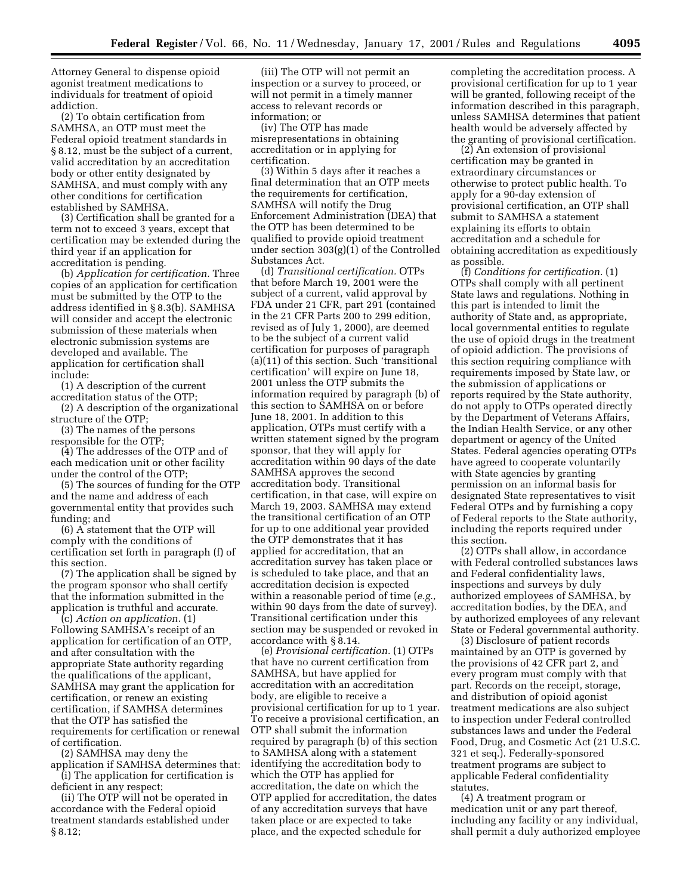Attorney General to dispense opioid agonist treatment medications to individuals for treatment of opioid addiction.

(2) To obtain certification from SAMHSA, an OTP must meet the Federal opioid treatment standards in § 8.12, must be the subject of a current, valid accreditation by an accreditation body or other entity designated by SAMHSA, and must comply with any other conditions for certification established by SAMHSA.

(3) Certification shall be granted for a term not to exceed 3 years, except that certification may be extended during the third year if an application for accreditation is pending.

(b) *Application for certification.* Three copies of an application for certification must be submitted by the OTP to the address identified in § 8.3(b). SAMHSA will consider and accept the electronic submission of these materials when electronic submission systems are developed and available. The application for certification shall include:

(1) A description of the current accreditation status of the OTP;

(2) A description of the organizational structure of the OTP;

(3) The names of the persons responsible for the OTP;

(4) The addresses of the OTP and of each medication unit or other facility under the control of the OTP;

(5) The sources of funding for the OTP and the name and address of each governmental entity that provides such funding; and

(6) A statement that the OTP will comply with the conditions of certification set forth in paragraph (f) of this section.

(7) The application shall be signed by the program sponsor who shall certify that the information submitted in the application is truthful and accurate.

(c) *Action on application.* (1) Following SAMHSA's receipt of an application for certification of an OTP, and after consultation with the appropriate State authority regarding the qualifications of the applicant, SAMHSA may grant the application for certification, or renew an existing certification, if SAMHSA determines that the OTP has satisfied the requirements for certification or renewal of certification.

(2) SAMHSA may deny the application if SAMHSA determines that:

(i) The application for certification is deficient in any respect;

(ii) The OTP will not be operated in accordance with the Federal opioid treatment standards established under § 8.12;

(iii) The OTP will not permit an inspection or a survey to proceed, or will not permit in a timely manner access to relevant records or information; or

(iv) The OTP has made misrepresentations in obtaining accreditation or in applying for certification.

(3) Within 5 days after it reaches a final determination that an OTP meets the requirements for certification, SAMHSA will notify the Drug Enforcement Administration (DEA) that the OTP has been determined to be qualified to provide opioid treatment under section 303(g)(1) of the Controlled Substances Act.

(d) *Transitional certification.* OTPs that before March 19, 2001 were the subject of a current, valid approval by FDA under 21 CFR, part 291 (contained in the 21 CFR Parts 200 to 299 edition, revised as of July 1, 2000), are deemed to be the subject of a current valid certification for purposes of paragraph (a)(11) of this section. Such 'transitional certification' will expire on June 18, 2001 unless the OTP submits the information required by paragraph (b) of this section to SAMHSA on or before June 18, 2001. In addition to this application, OTPs must certify with a written statement signed by the program sponsor, that they will apply for accreditation within 90 days of the date SAMHSA approves the second accreditation body. Transitional certification, in that case, will expire on March 19, 2003. SAMHSA may extend the transitional certification of an OTP for up to one additional year provided the OTP demonstrates that it has applied for accreditation, that an accreditation survey has taken place or is scheduled to take place, and that an accreditation decision is expected within a reasonable period of time (*e.g.,* within 90 days from the date of survey). Transitional certification under this section may be suspended or revoked in accordance with § 8.14.

(e) *Provisional certification.* (1) OTPs that have no current certification from SAMHSA, but have applied for accreditation with an accreditation body, are eligible to receive a provisional certification for up to 1 year. To receive a provisional certification, an OTP shall submit the information required by paragraph (b) of this section to SAMHSA along with a statement identifying the accreditation body to which the OTP has applied for accreditation, the date on which the OTP applied for accreditation, the dates of any accreditation surveys that have taken place or are expected to take place, and the expected schedule for

completing the accreditation process. A provisional certification for up to 1 year will be granted, following receipt of the information described in this paragraph, unless SAMHSA determines that patient health would be adversely affected by the granting of provisional certification.

(2) An extension of provisional certification may be granted in extraordinary circumstances or otherwise to protect public health. To apply for a 90-day extension of provisional certification, an OTP shall submit to SAMHSA a statement explaining its efforts to obtain accreditation and a schedule for obtaining accreditation as expeditiously as possible.

(f) *Conditions for certification.* (1) OTPs shall comply with all pertinent State laws and regulations. Nothing in this part is intended to limit the authority of State and, as appropriate, local governmental entities to regulate the use of opioid drugs in the treatment of opioid addiction. The provisions of this section requiring compliance with requirements imposed by State law, or the submission of applications or reports required by the State authority, do not apply to OTPs operated directly by the Department of Veterans Affairs, the Indian Health Service, or any other department or agency of the United States. Federal agencies operating OTPs have agreed to cooperate voluntarily with State agencies by granting permission on an informal basis for designated State representatives to visit Federal OTPs and by furnishing a copy of Federal reports to the State authority, including the reports required under this section.

(2) OTPs shall allow, in accordance with Federal controlled substances laws and Federal confidentiality laws, inspections and surveys by duly authorized employees of SAMHSA, by accreditation bodies, by the DEA, and by authorized employees of any relevant State or Federal governmental authority.

(3) Disclosure of patient records maintained by an OTP is governed by the provisions of 42 CFR part 2, and every program must comply with that part. Records on the receipt, storage, and distribution of opioid agonist treatment medications are also subject to inspection under Federal controlled substances laws and under the Federal Food, Drug, and Cosmetic Act (21 U.S.C. 321 et seq.). Federally-sponsored treatment programs are subject to applicable Federal confidentiality statutes.

(4) A treatment program or medication unit or any part thereof, including any facility or any individual, shall permit a duly authorized employee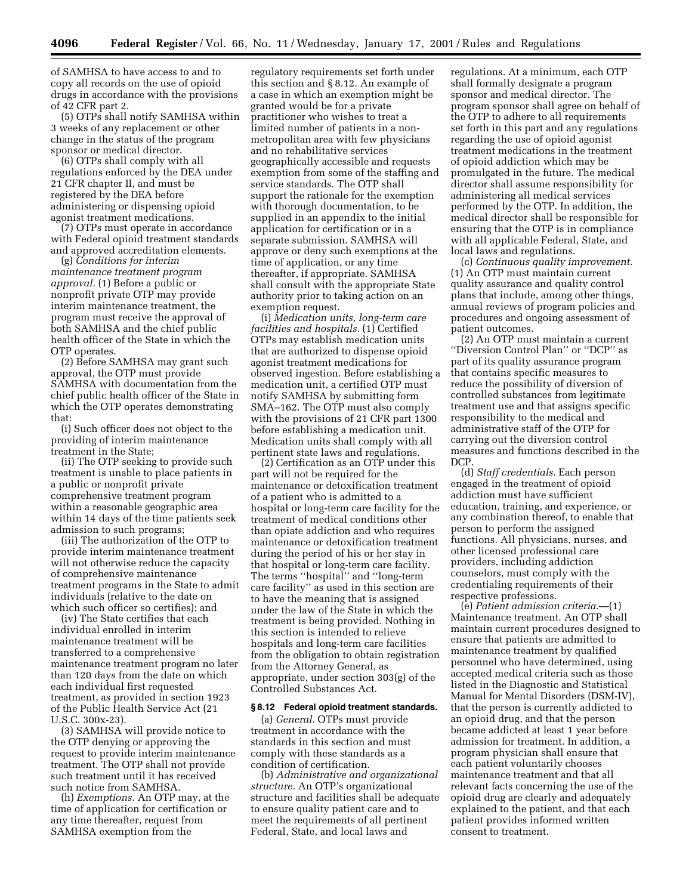of SAMHSA to have access to and to copy all records on the use of opioid drugs in accordance with the provisions of 42 CFR part 2.

(5) OTPs shall notify SAMHSA within 3 weeks of any replacement or other change in the status of the program sponsor or medical director.

(6) OTPs shall comply with all regulations enforced by the DEA under 21 CFR chapter II, and must be registered by the DEA before administering or dispensing opioid agonist treatment medications.

(7) OTPs must operate in accordance with Federal opioid treatment standards and approved accreditation elements.

(g) *Conditions for interim maintenance treatment program approval.* (1) Before a public or nonprofit private OTP may provide interim maintenance treatment, the program must receive the approval of both SAMHSA and the chief public health officer of the State in which the OTP operates.

(2) Before SAMHSA may grant such approval, the OTP must provide SAMHSA with documentation from the chief public health officer of the State in which the OTP operates demonstrating that:

(i) Such officer does not object to the providing of interim maintenance treatment in the State;

(ii) The OTP seeking to provide such treatment is unable to place patients in a public or nonprofit private comprehensive treatment program within a reasonable geographic area within 14 days of the time patients seek admission to such programs;

(iii) The authorization of the OTP to provide interim maintenance treatment will not otherwise reduce the capacity of comprehensive maintenance treatment programs in the State to admit individuals (relative to the date on which such officer so certifies); and

(iv) The State certifies that each individual enrolled in interim maintenance treatment will be transferred to a comprehensive maintenance treatment program no later than 120 days from the date on which each individual first requested treatment, as provided in section 1923 of the Public Health Service Act (21 U.S.C. 300x-23).

(3) SAMHSA will provide notice to the OTP denying or approving the request to provide interim maintenance treatment. The OTP shall not provide such treatment until it has received such notice from SAMHSA.

(h) *Exemptions.* An OTP may, at the time of application for certification or any time thereafter, request from SAMHSA exemption from the

regulatory requirements set forth under this section and § 8.12. An example of a case in which an exemption might be granted would be for a private practitioner who wishes to treat a limited number of patients in a nonmetropolitan area with few physicians and no rehabilitative services geographically accessible and requests exemption from some of the staffing and service standards. The OTP shall support the rationale for the exemption with thorough documentation, to be supplied in an appendix to the initial application for certification or in a separate submission. SAMHSA will approve or deny such exemptions at the time of application, or any time thereafter, if appropriate. SAMHSA shall consult with the appropriate State authority prior to taking action on an exemption request.

(i) *Medication units, long-term care facilities and hospitals.* (1) Certified OTPs may establish medication units that are authorized to dispense opioid agonist treatment medications for observed ingestion. Before establishing a medication unit, a certified OTP must notify SAMHSA by submitting form SMA–162. The OTP must also comply with the provisions of 21 CFR part 1300 before establishing a medication unit. Medication units shall comply with all pertinent state laws and regulations.

(2) Certification as an OTP under this part will not be required for the maintenance or detoxification treatment of a patient who is admitted to a hospital or long-term care facility for the treatment of medical conditions other than opiate addiction and who requires maintenance or detoxification treatment during the period of his or her stay in that hospital or long-term care facility. The terms ''hospital'' and ''long-term care facility'' as used in this section are to have the meaning that is assigned under the law of the State in which the treatment is being provided. Nothing in this section is intended to relieve hospitals and long-term care facilities from the obligation to obtain registration from the Attorney General, as appropriate, under section 303(g) of the Controlled Substances Act.

### **§ 8.12 Federal opioid treatment standards.**

(a) *General.* OTPs must provide treatment in accordance with the standards in this section and must comply with these standards as a condition of certification.

(b) *Administrative and organizational structure.* An OTP's organizational structure and facilities shall be adequate to ensure quality patient care and to meet the requirements of all pertinent Federal, State, and local laws and

regulations. At a minimum, each OTP shall formally designate a program sponsor and medical director. The program sponsor shall agree on behalf of the OTP to adhere to all requirements set forth in this part and any regulations regarding the use of opioid agonist treatment medications in the treatment of opioid addiction which may be promulgated in the future. The medical director shall assume responsibility for administering all medical services performed by the OTP. In addition, the medical director shall be responsible for ensuring that the OTP is in compliance with all applicable Federal, State, and local laws and regulations.

(c) *Continuous quality improvement.* (1) An OTP must maintain current quality assurance and quality control plans that include, among other things, annual reviews of program policies and procedures and ongoing assessment of patient outcomes.

(2) An OTP must maintain a current ''Diversion Control Plan'' or ''DCP'' as part of its quality assurance program that contains specific measures to reduce the possibility of diversion of controlled substances from legitimate treatment use and that assigns specific responsibility to the medical and administrative staff of the OTP for carrying out the diversion control measures and functions described in the DCP.

(d) *Staff credentials.* Each person engaged in the treatment of opioid addiction must have sufficient education, training, and experience, or any combination thereof, to enable that person to perform the assigned functions. All physicians, nurses, and other licensed professional care providers, including addiction counselors, must comply with the credentialing requirements of their respective professions.

(e) *Patient admission criteria.*—(1) Maintenance treatment. An OTP shall maintain current procedures designed to ensure that patients are admitted to maintenance treatment by qualified personnel who have determined, using accepted medical criteria such as those listed in the Diagnostic and Statistical Manual for Mental Disorders (DSM-IV), that the person is currently addicted to an opioid drug, and that the person became addicted at least 1 year before admission for treatment. In addition, a program physician shall ensure that each patient voluntarily chooses maintenance treatment and that all relevant facts concerning the use of the opioid drug are clearly and adequately explained to the patient, and that each patient provides informed written consent to treatment.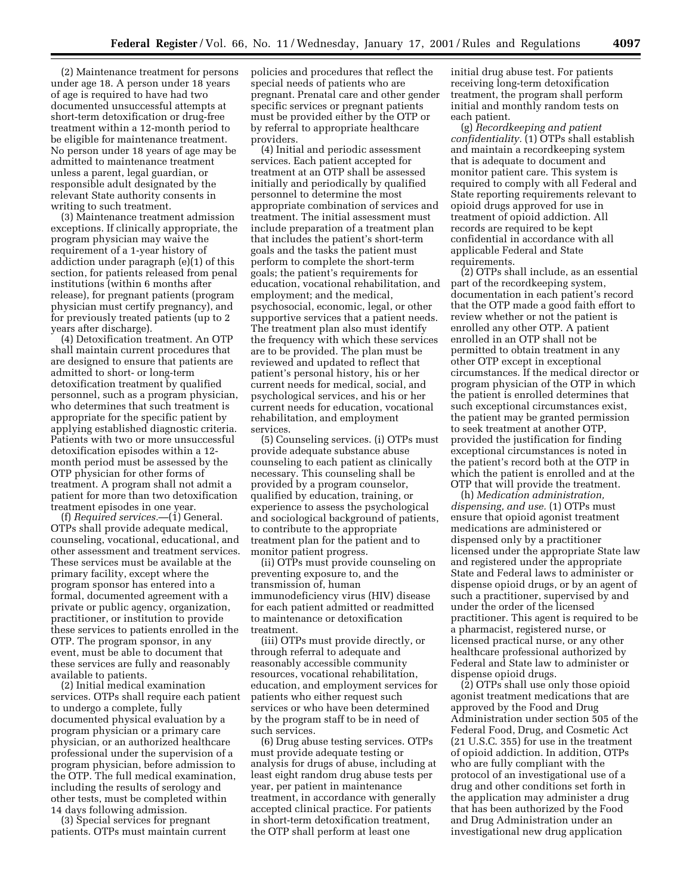(2) Maintenance treatment for persons under age 18. A person under 18 years of age is required to have had two documented unsuccessful attempts at short-term detoxification or drug-free treatment within a 12-month period to be eligible for maintenance treatment. No person under 18 years of age may be admitted to maintenance treatment unless a parent, legal guardian, or responsible adult designated by the relevant State authority consents in writing to such treatment.

(3) Maintenance treatment admission exceptions. If clinically appropriate, the program physician may waive the requirement of a 1-year history of addiction under paragraph (e)(1) of this section, for patients released from penal institutions (within 6 months after release), for pregnant patients (program physician must certify pregnancy), and for previously treated patients (up to 2 years after discharge).

(4) Detoxification treatment. An OTP shall maintain current procedures that are designed to ensure that patients are admitted to short- or long-term detoxification treatment by qualified personnel, such as a program physician, who determines that such treatment is appropriate for the specific patient by applying established diagnostic criteria. Patients with two or more unsuccessful detoxification episodes within a 12 month period must be assessed by the OTP physician for other forms of treatment. A program shall not admit a patient for more than two detoxification treatment episodes in one year.

(f) *Required services.*—(1) General. OTPs shall provide adequate medical, counseling, vocational, educational, and other assessment and treatment services. These services must be available at the primary facility, except where the program sponsor has entered into a formal, documented agreement with a private or public agency, organization, practitioner, or institution to provide these services to patients enrolled in the OTP. The program sponsor, in any event, must be able to document that these services are fully and reasonably available to patients.

(2) Initial medical examination services. OTPs shall require each patient to undergo a complete, fully documented physical evaluation by a program physician or a primary care physician, or an authorized healthcare professional under the supervision of a program physician, before admission to the OTP. The full medical examination, including the results of serology and other tests, must be completed within 14 days following admission.

(3) Special services for pregnant patients. OTPs must maintain current policies and procedures that reflect the special needs of patients who are pregnant. Prenatal care and other gender specific services or pregnant patients must be provided either by the OTP or by referral to appropriate healthcare providers.

(4) Initial and periodic assessment services. Each patient accepted for treatment at an OTP shall be assessed initially and periodically by qualified personnel to determine the most appropriate combination of services and treatment. The initial assessment must include preparation of a treatment plan that includes the patient's short-term goals and the tasks the patient must perform to complete the short-term goals; the patient's requirements for education, vocational rehabilitation, and employment; and the medical, psychosocial, economic, legal, or other supportive services that a patient needs. The treatment plan also must identify the frequency with which these services are to be provided. The plan must be reviewed and updated to reflect that patient's personal history, his or her current needs for medical, social, and psychological services, and his or her current needs for education, vocational rehabilitation, and employment services.

(5) Counseling services. (i) OTPs must provide adequate substance abuse counseling to each patient as clinically necessary. This counseling shall be provided by a program counselor, qualified by education, training, or experience to assess the psychological and sociological background of patients, to contribute to the appropriate treatment plan for the patient and to monitor patient progress.

(ii) OTPs must provide counseling on preventing exposure to, and the transmission of, human immunodeficiency virus (HIV) disease for each patient admitted or readmitted to maintenance or detoxification treatment.

(iii) OTPs must provide directly, or through referral to adequate and reasonably accessible community resources, vocational rehabilitation, education, and employment services for patients who either request such services or who have been determined by the program staff to be in need of such services.

(6) Drug abuse testing services. OTPs must provide adequate testing or analysis for drugs of abuse, including at least eight random drug abuse tests per year, per patient in maintenance treatment, in accordance with generally accepted clinical practice. For patients in short-term detoxification treatment, the OTP shall perform at least one

initial drug abuse test. For patients receiving long-term detoxification treatment, the program shall perform initial and monthly random tests on each patient.

(g) *Recordkeeping and patient confidentiality.* (1) OTPs shall establish and maintain a recordkeeping system that is adequate to document and monitor patient care. This system is required to comply with all Federal and State reporting requirements relevant to opioid drugs approved for use in treatment of opioid addiction. All records are required to be kept confidential in accordance with all applicable Federal and State requirements.

(2) OTPs shall include, as an essential part of the recordkeeping system, documentation in each patient's record that the OTP made a good faith effort to review whether or not the patient is enrolled any other OTP. A patient enrolled in an OTP shall not be permitted to obtain treatment in any other OTP except in exceptional circumstances. If the medical director or program physician of the OTP in which the patient is enrolled determines that such exceptional circumstances exist, the patient may be granted permission to seek treatment at another OTP, provided the justification for finding exceptional circumstances is noted in the patient's record both at the OTP in which the patient is enrolled and at the OTP that will provide the treatment.

(h) *Medication administration, dispensing, and use.* (1) OTPs must ensure that opioid agonist treatment medications are administered or dispensed only by a practitioner licensed under the appropriate State law and registered under the appropriate State and Federal laws to administer or dispense opioid drugs, or by an agent of such a practitioner, supervised by and under the order of the licensed practitioner. This agent is required to be a pharmacist, registered nurse, or licensed practical nurse, or any other healthcare professional authorized by Federal and State law to administer or dispense opioid drugs.

(2) OTPs shall use only those opioid agonist treatment medications that are approved by the Food and Drug Administration under section 505 of the Federal Food, Drug, and Cosmetic Act (21 U.S.C. 355) for use in the treatment of opioid addiction. In addition, OTPs who are fully compliant with the protocol of an investigational use of a drug and other conditions set forth in the application may administer a drug that has been authorized by the Food and Drug Administration under an investigational new drug application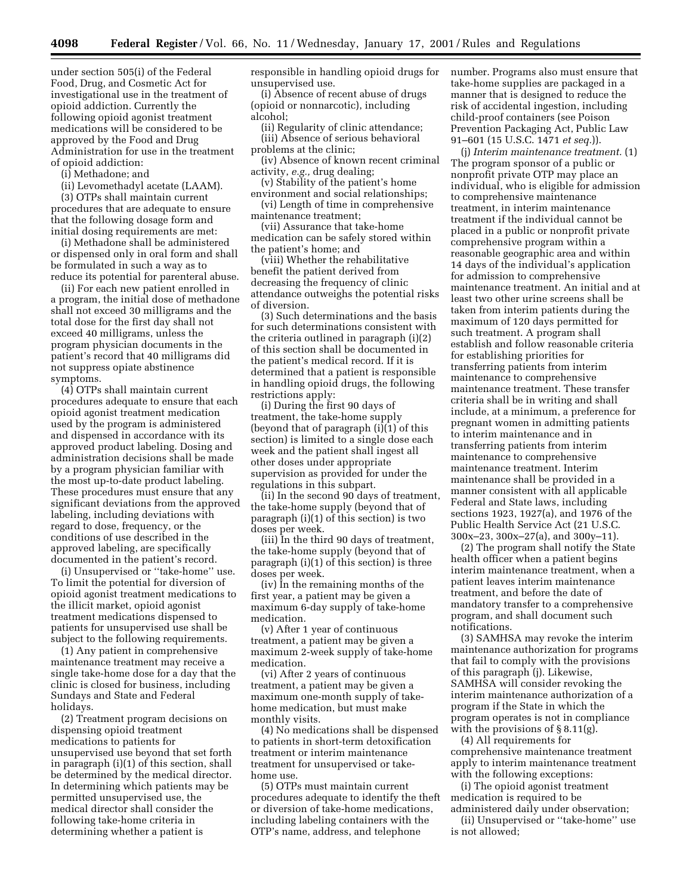under section 505(i) of the Federal Food, Drug, and Cosmetic Act for investigational use in the treatment of opioid addiction. Currently the following opioid agonist treatment medications will be considered to be approved by the Food and Drug Administration for use in the treatment of opioid addiction:

(i) Methadone; and

(ii) Levomethadyl acetate (LAAM).

(3) OTPs shall maintain current procedures that are adequate to ensure that the following dosage form and initial dosing requirements are met:

(i) Methadone shall be administered or dispensed only in oral form and shall be formulated in such a way as to reduce its potential for parenteral abuse.

(ii) For each new patient enrolled in a program, the initial dose of methadone shall not exceed 30 milligrams and the total dose for the first day shall not exceed 40 milligrams, unless the program physician documents in the patient's record that 40 milligrams did not suppress opiate abstinence symptoms.

(4) OTPs shall maintain current procedures adequate to ensure that each opioid agonist treatment medication used by the program is administered and dispensed in accordance with its approved product labeling. Dosing and administration decisions shall be made by a program physician familiar with the most up-to-date product labeling. These procedures must ensure that any significant deviations from the approved labeling, including deviations with regard to dose, frequency, or the conditions of use described in the approved labeling, are specifically documented in the patient's record.

(i) Unsupervised or ''take-home'' use. To limit the potential for diversion of opioid agonist treatment medications to the illicit market, opioid agonist treatment medications dispensed to patients for unsupervised use shall be subject to the following requirements.

(1) Any patient in comprehensive maintenance treatment may receive a single take-home dose for a day that the clinic is closed for business, including Sundays and State and Federal holidays.

(2) Treatment program decisions on dispensing opioid treatment medications to patients for unsupervised use beyond that set forth in paragraph (i)(1) of this section, shall be determined by the medical director. In determining which patients may be permitted unsupervised use, the medical director shall consider the following take-home criteria in determining whether a patient is

responsible in handling opioid drugs for unsupervised use.

(i) Absence of recent abuse of drugs (opioid or nonnarcotic), including alcohol;

(ii) Regularity of clinic attendance; (iii) Absence of serious behavioral problems at the clinic;

(iv) Absence of known recent criminal activity, *e.g.,* drug dealing;

(v) Stability of the patient's home environment and social relationships;

(vi) Length of time in comprehensive maintenance treatment;

(vii) Assurance that take-home medication can be safely stored within the patient's home; and

(viii) Whether the rehabilitative benefit the patient derived from decreasing the frequency of clinic attendance outweighs the potential risks of diversion.

(3) Such determinations and the basis for such determinations consistent with the criteria outlined in paragraph (i)(2) of this section shall be documented in the patient's medical record. If it is determined that a patient is responsible in handling opioid drugs, the following restrictions apply:

(i) During the first 90 days of treatment, the take-home supply (beyond that of paragraph (i)(1) of this section) is limited to a single dose each week and the patient shall ingest all other doses under appropriate supervision as provided for under the regulations in this subpart.

(ii) In the second 90 days of treatment, the take-home supply (beyond that of paragraph (i)(1) of this section) is two doses per week.

(iii) In the third 90 days of treatment, the take-home supply (beyond that of paragraph (i)(1) of this section) is three doses per week.

(iv) In the remaining months of the first year, a patient may be given a maximum 6-day supply of take-home medication.

(v) After 1 year of continuous treatment, a patient may be given a maximum 2-week supply of take-home medication.

(vi) After 2 years of continuous treatment, a patient may be given a maximum one-month supply of takehome medication, but must make monthly visits.

(4) No medications shall be dispensed to patients in short-term detoxification treatment or interim maintenance treatment for unsupervised or takehome use.

(5) OTPs must maintain current procedures adequate to identify the theft or diversion of take-home medications, including labeling containers with the OTP's name, address, and telephone

number. Programs also must ensure that take-home supplies are packaged in a manner that is designed to reduce the risk of accidental ingestion, including child-proof containers (see Poison Prevention Packaging Act, Public Law 91–601 (15 U.S.C. 1471 *et seq.*)).

(j) *Interim maintenance treatment.* (1) The program sponsor of a public or nonprofit private OTP may place an individual, who is eligible for admission to comprehensive maintenance treatment, in interim maintenance treatment if the individual cannot be placed in a public or nonprofit private comprehensive program within a reasonable geographic area and within 14 days of the individual's application for admission to comprehensive maintenance treatment. An initial and at least two other urine screens shall be taken from interim patients during the maximum of 120 days permitted for such treatment. A program shall establish and follow reasonable criteria for establishing priorities for transferring patients from interim maintenance to comprehensive maintenance treatment. These transfer criteria shall be in writing and shall include, at a minimum, a preference for pregnant women in admitting patients to interim maintenance and in transferring patients from interim maintenance to comprehensive maintenance treatment. Interim maintenance shall be provided in a manner consistent with all applicable Federal and State laws, including sections 1923, 1927(a), and 1976 of the Public Health Service Act (21 U.S.C. 300x–23, 300x–27(a), and 300y–11).

(2) The program shall notify the State health officer when a patient begins interim maintenance treatment, when a patient leaves interim maintenance treatment, and before the date of mandatory transfer to a comprehensive program, and shall document such notifications.

(3) SAMHSA may revoke the interim maintenance authorization for programs that fail to comply with the provisions of this paragraph (j). Likewise, SAMHSA will consider revoking the interim maintenance authorization of a program if the State in which the program operates is not in compliance with the provisions of § 8.11(g).

(4) All requirements for comprehensive maintenance treatment apply to interim maintenance treatment with the following exceptions:

(i) The opioid agonist treatment medication is required to be administered daily under observation;

(ii) Unsupervised or ''take-home'' use is not allowed;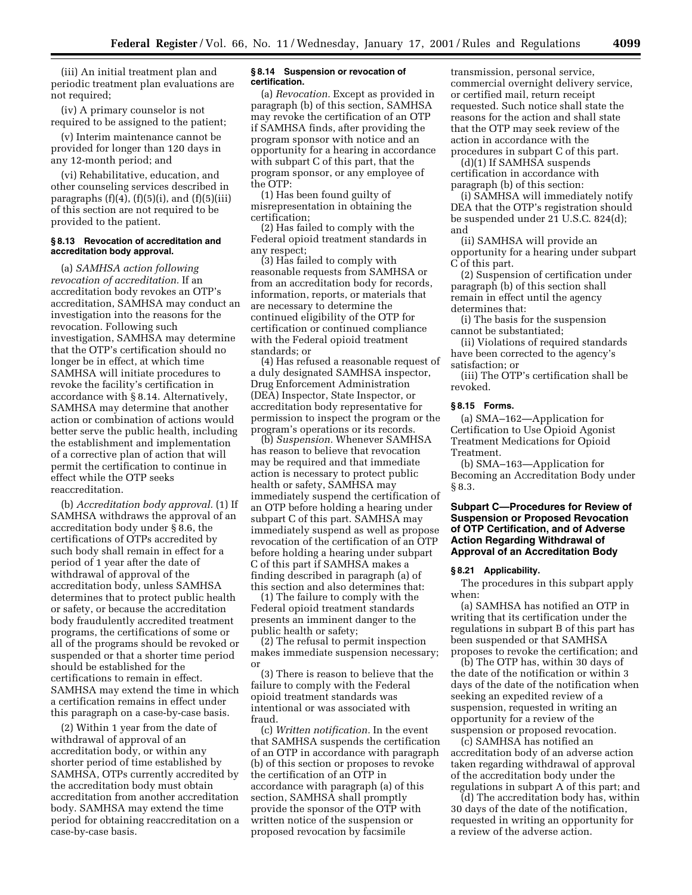(iii) An initial treatment plan and periodic treatment plan evaluations are not required;

(iv) A primary counselor is not required to be assigned to the patient;

(v) Interim maintenance cannot be provided for longer than 120 days in any 12-month period; and

(vi) Rehabilitative, education, and other counseling services described in paragraphs  $(f)(4)$ ,  $(f)(5)(i)$ , and  $(f)(5)(iii)$ of this section are not required to be provided to the patient.

# **§ 8.13 Revocation of accreditation and accreditation body approval.**

(a) *SAMHSA action following revocation of accreditation.* If an accreditation body revokes an OTP's accreditation, SAMHSA may conduct an investigation into the reasons for the revocation. Following such investigation, SAMHSA may determine that the OTP's certification should no longer be in effect, at which time SAMHSA will initiate procedures to revoke the facility's certification in accordance with § 8.14. Alternatively, SAMHSA may determine that another action or combination of actions would better serve the public health, including the establishment and implementation of a corrective plan of action that will permit the certification to continue in effect while the OTP seeks reaccreditation.

(b) *Accreditation body approval.* (1) If SAMHSA withdraws the approval of an accreditation body under § 8.6, the certifications of OTPs accredited by such body shall remain in effect for a period of 1 year after the date of withdrawal of approval of the accreditation body, unless SAMHSA determines that to protect public health or safety, or because the accreditation body fraudulently accredited treatment programs, the certifications of some or all of the programs should be revoked or suspended or that a shorter time period should be established for the certifications to remain in effect. SAMHSA may extend the time in which a certification remains in effect under this paragraph on a case-by-case basis.

(2) Within 1 year from the date of withdrawal of approval of an accreditation body, or within any shorter period of time established by SAMHSA, OTPs currently accredited by the accreditation body must obtain accreditation from another accreditation body. SAMHSA may extend the time period for obtaining reaccreditation on a case-by-case basis.

## **§ 8.14 Suspension or revocation of certification.**

(a) *Revocation.* Except as provided in paragraph (b) of this section, SAMHSA may revoke the certification of an OTP if SAMHSA finds, after providing the program sponsor with notice and an opportunity for a hearing in accordance with subpart C of this part, that the program sponsor, or any employee of the OTP:

(1) Has been found guilty of misrepresentation in obtaining the certification;

(2) Has failed to comply with the Federal opioid treatment standards in any respect;

(3) Has failed to comply with reasonable requests from SAMHSA or from an accreditation body for records, information, reports, or materials that are necessary to determine the continued eligibility of the OTP for certification or continued compliance with the Federal opioid treatment standards; or

(4) Has refused a reasonable request of a duly designated SAMHSA inspector, Drug Enforcement Administration (DEA) Inspector, State Inspector, or accreditation body representative for permission to inspect the program or the program's operations or its records.

(b) *Suspension.* Whenever SAMHSA has reason to believe that revocation may be required and that immediate action is necessary to protect public health or safety, SAMHSA may immediately suspend the certification of an OTP before holding a hearing under subpart C of this part. SAMHSA may immediately suspend as well as propose revocation of the certification of an OTP before holding a hearing under subpart C of this part if SAMHSA makes a finding described in paragraph (a) of this section and also determines that:

(1) The failure to comply with the Federal opioid treatment standards presents an imminent danger to the public health or safety;

(2) The refusal to permit inspection makes immediate suspension necessary; or

(3) There is reason to believe that the failure to comply with the Federal opioid treatment standards was intentional or was associated with fraud.

(c) *Written notification.* In the event that SAMHSA suspends the certification of an OTP in accordance with paragraph (b) of this section or proposes to revoke the certification of an OTP in accordance with paragraph (a) of this section, SAMHSA shall promptly provide the sponsor of the OTP with written notice of the suspension or proposed revocation by facsimile

transmission, personal service, commercial overnight delivery service, or certified mail, return receipt requested. Such notice shall state the reasons for the action and shall state that the OTP may seek review of the action in accordance with the procedures in subpart C of this part.

(d)(1) If SAMHSA suspends certification in accordance with paragraph (b) of this section:

(i) SAMHSA will immediately notify DEA that the OTP's registration should be suspended under 21 U.S.C. 824(d); and

(ii) SAMHSA will provide an opportunity for a hearing under subpart C of this part.

(2) Suspension of certification under paragraph (b) of this section shall remain in effect until the agency determines that:

(i) The basis for the suspension cannot be substantiated;

(ii) Violations of required standards have been corrected to the agency's satisfaction; or

(iii) The OTP's certification shall be revoked.

#### **§ 8.15 Forms.**

(a) SMA–162—Application for Certification to Use Opioid Agonist Treatment Medications for Opioid Treatment.

(b) SMA–163—Application for Becoming an Accreditation Body under § 8.3.

# **Subpart C—Procedures for Review of Suspension or Proposed Revocation of OTP Certification, and of Adverse Action Regarding Withdrawal of Approval of an Accreditation Body**

## **§ 8.21 Applicability.**

The procedures in this subpart apply when:

(a) SAMHSA has notified an OTP in writing that its certification under the regulations in subpart B of this part has been suspended or that SAMHSA proposes to revoke the certification; and

(b) The OTP has, within 30 days of the date of the notification or within 3 days of the date of the notification when seeking an expedited review of a suspension, requested in writing an opportunity for a review of the suspension or proposed revocation.

(c) SAMHSA has notified an accreditation body of an adverse action taken regarding withdrawal of approval of the accreditation body under the regulations in subpart A of this part; and

(d) The accreditation body has, within 30 days of the date of the notification, requested in writing an opportunity for a review of the adverse action.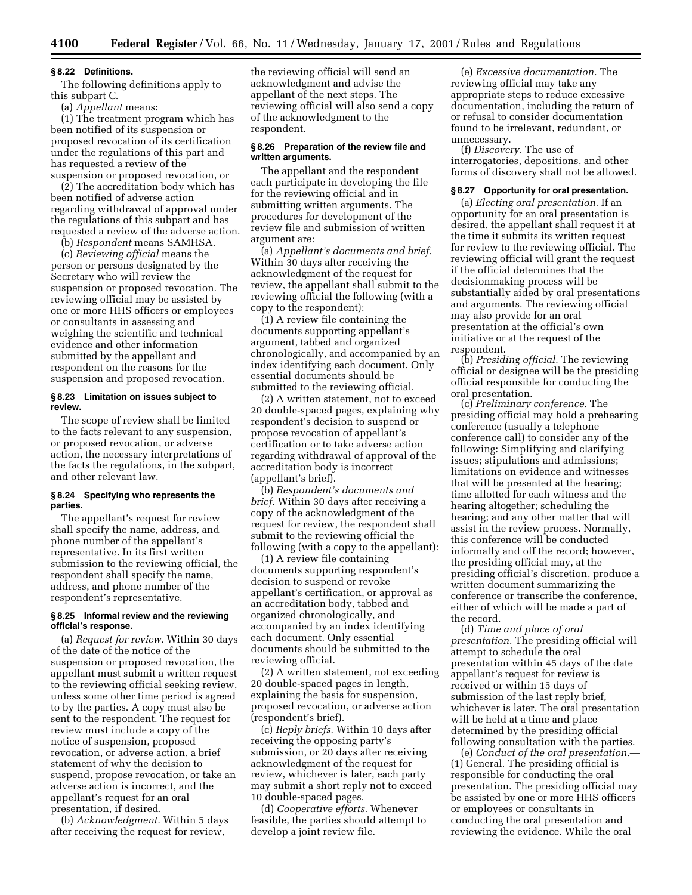#### **§ 8.22 Definitions.**

The following definitions apply to this subpart C.

(a) *Appellant* means:

(1) The treatment program which has been notified of its suspension or proposed revocation of its certification under the regulations of this part and has requested a review of the suspension or proposed revocation, or

(2) The accreditation body which has been notified of adverse action regarding withdrawal of approval under the regulations of this subpart and has requested a review of the adverse action.

(b) *Respondent* means SAMHSA.

(c) *Reviewing official* means the person or persons designated by the Secretary who will review the suspension or proposed revocation. The reviewing official may be assisted by one or more HHS officers or employees or consultants in assessing and weighing the scientific and technical evidence and other information submitted by the appellant and respondent on the reasons for the suspension and proposed revocation.

## **§ 8.23 Limitation on issues subject to review.**

The scope of review shall be limited to the facts relevant to any suspension, or proposed revocation, or adverse action, the necessary interpretations of the facts the regulations, in the subpart, and other relevant law.

# **§ 8.24 Specifying who represents the parties.**

The appellant's request for review shall specify the name, address, and phone number of the appellant's representative. In its first written submission to the reviewing official, the respondent shall specify the name, address, and phone number of the respondent's representative.

#### **§ 8.25 Informal review and the reviewing official's response.**

(a) *Request for review.* Within 30 days of the date of the notice of the suspension or proposed revocation, the appellant must submit a written request to the reviewing official seeking review, unless some other time period is agreed to by the parties. A copy must also be sent to the respondent. The request for review must include a copy of the notice of suspension, proposed revocation, or adverse action, a brief statement of why the decision to suspend, propose revocation, or take an adverse action is incorrect, and the appellant's request for an oral presentation, if desired.

(b) *Acknowledgment.* Within 5 days after receiving the request for review,

the reviewing official will send an acknowledgment and advise the appellant of the next steps. The reviewing official will also send a copy of the acknowledgment to the respondent.

#### **§ 8.26 Preparation of the review file and written arguments.**

The appellant and the respondent each participate in developing the file for the reviewing official and in submitting written arguments. The procedures for development of the review file and submission of written argument are:

(a) *Appellant's documents and brief.* Within 30 days after receiving the acknowledgment of the request for review, the appellant shall submit to the reviewing official the following (with a copy to the respondent):

(1) A review file containing the documents supporting appellant's argument, tabbed and organized chronologically, and accompanied by an index identifying each document. Only essential documents should be submitted to the reviewing official.

(2) A written statement, not to exceed 20 double-spaced pages, explaining why respondent's decision to suspend or propose revocation of appellant's certification or to take adverse action regarding withdrawal of approval of the accreditation body is incorrect (appellant's brief).

(b) *Respondent's documents and brief.* Within 30 days after receiving a copy of the acknowledgment of the request for review, the respondent shall submit to the reviewing official the following (with a copy to the appellant):

(1) A review file containing documents supporting respondent's decision to suspend or revoke appellant's certification, or approval as an accreditation body, tabbed and organized chronologically, and accompanied by an index identifying each document. Only essential documents should be submitted to the reviewing official.

(2) A written statement, not exceeding 20 double-spaced pages in length, explaining the basis for suspension, proposed revocation, or adverse action (respondent's brief).

(c) *Reply briefs.* Within 10 days after receiving the opposing party's submission, or 20 days after receiving acknowledgment of the request for review, whichever is later, each party may submit a short reply not to exceed 10 double-spaced pages.

(d) *Cooperative efforts.* Whenever feasible, the parties should attempt to develop a joint review file.

(e) *Excessive documentation.* The reviewing official may take any appropriate steps to reduce excessive documentation, including the return of or refusal to consider documentation found to be irrelevant, redundant, or unnecessary.

(f) *Discovery.* The use of interrogatories, depositions, and other forms of discovery shall not be allowed.

#### **§ 8.27 Opportunity for oral presentation.**

(a) *Electing oral presentation.* If an opportunity for an oral presentation is desired, the appellant shall request it at the time it submits its written request for review to the reviewing official. The reviewing official will grant the request if the official determines that the decisionmaking process will be substantially aided by oral presentations and arguments. The reviewing official may also provide for an oral presentation at the official's own initiative or at the request of the respondent.

(b) *Presiding official.* The reviewing official or designee will be the presiding official responsible for conducting the oral presentation.

(c) *Preliminary conference.* The presiding official may hold a prehearing conference (usually a telephone conference call) to consider any of the following: Simplifying and clarifying issues; stipulations and admissions; limitations on evidence and witnesses that will be presented at the hearing; time allotted for each witness and the hearing altogether; scheduling the hearing; and any other matter that will assist in the review process. Normally, this conference will be conducted informally and off the record; however, the presiding official may, at the presiding official's discretion, produce a written document summarizing the conference or transcribe the conference, either of which will be made a part of the record.

(d) *Time and place of oral presentation.* The presiding official will attempt to schedule the oral presentation within 45 days of the date appellant's request for review is received or within 15 days of submission of the last reply brief, whichever is later. The oral presentation will be held at a time and place determined by the presiding official following consultation with the parties.

(e) *Conduct of the oral presentation.*— (1) General. The presiding official is responsible for conducting the oral presentation. The presiding official may be assisted by one or more HHS officers or employees or consultants in conducting the oral presentation and reviewing the evidence. While the oral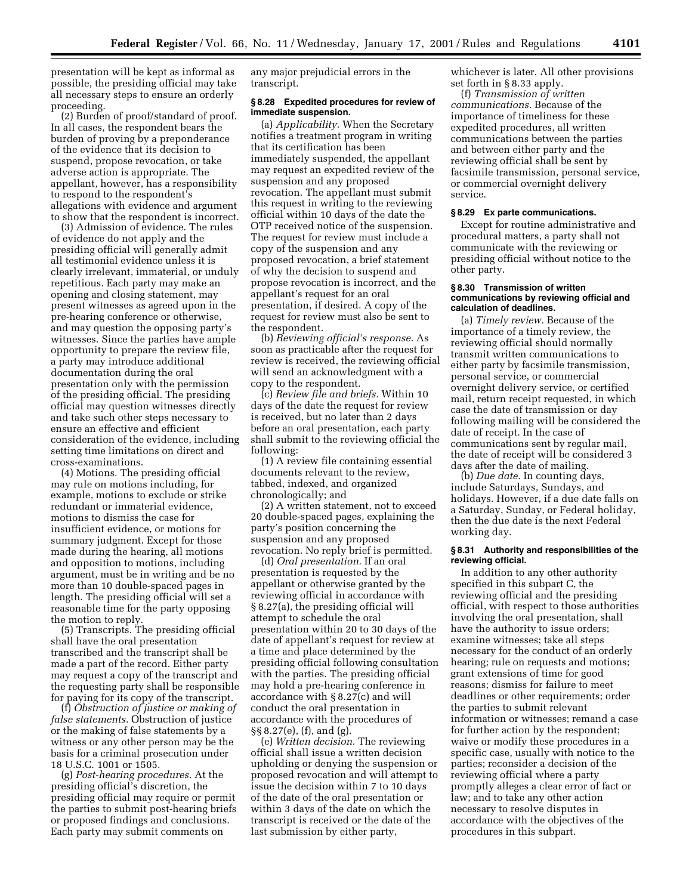presentation will be kept as informal as possible, the presiding official may take all necessary steps to ensure an orderly proceeding.

(2) Burden of proof/standard of proof. In all cases, the respondent bears the burden of proving by a preponderance of the evidence that its decision to suspend, propose revocation, or take adverse action is appropriate. The appellant, however, has a responsibility to respond to the respondent's allegations with evidence and argument to show that the respondent is incorrect.

(3) Admission of evidence. The rules of evidence do not apply and the presiding official will generally admit all testimonial evidence unless it is clearly irrelevant, immaterial, or unduly repetitious. Each party may make an opening and closing statement, may present witnesses as agreed upon in the pre-hearing conference or otherwise, and may question the opposing party's witnesses. Since the parties have ample opportunity to prepare the review file, a party may introduce additional documentation during the oral presentation only with the permission of the presiding official. The presiding official may question witnesses directly and take such other steps necessary to ensure an effective and efficient consideration of the evidence, including setting time limitations on direct and cross-examinations.

(4) Motions. The presiding official may rule on motions including, for example, motions to exclude or strike redundant or immaterial evidence, motions to dismiss the case for insufficient evidence, or motions for summary judgment. Except for those made during the hearing, all motions and opposition to motions, including argument, must be in writing and be no more than 10 double-spaced pages in length. The presiding official will set a reasonable time for the party opposing the motion to reply.

(5) Transcripts. The presiding official shall have the oral presentation transcribed and the transcript shall be made a part of the record. Either party may request a copy of the transcript and the requesting party shall be responsible for paying for its copy of the transcript.

(f) *Obstruction of justice or making of false statements.* Obstruction of justice or the making of false statements by a witness or any other person may be the basis for a criminal prosecution under 18 U.S.C. 1001 or 1505.

(g) *Post-hearing procedures.* At the presiding official's discretion, the presiding official may require or permit the parties to submit post-hearing briefs or proposed findings and conclusions. Each party may submit comments on

any major prejudicial errors in the transcript.

## **§ 8.28 Expedited procedures for review of immediate suspension.**

(a) *Applicability.* When the Secretary notifies a treatment program in writing that its certification has been immediately suspended, the appellant may request an expedited review of the suspension and any proposed revocation. The appellant must submit this request in writing to the reviewing official within 10 days of the date the OTP received notice of the suspension. The request for review must include a copy of the suspension and any proposed revocation, a brief statement of why the decision to suspend and propose revocation is incorrect, and the appellant's request for an oral presentation, if desired. A copy of the request for review must also be sent to the respondent.

(b) *Reviewing official's response.* As soon as practicable after the request for review is received, the reviewing official will send an acknowledgment with a copy to the respondent.

(c) *Review file and briefs.* Within 10 days of the date the request for review is received, but no later than 2 days before an oral presentation, each party shall submit to the reviewing official the following:

(1) A review file containing essential documents relevant to the review, tabbed, indexed, and organized chronologically; and

(2) A written statement, not to exceed 20 double-spaced pages, explaining the party's position concerning the suspension and any proposed revocation. No reply brief is permitted.

(d) *Oral presentation.* If an oral presentation is requested by the appellant or otherwise granted by the reviewing official in accordance with § 8.27(a), the presiding official will attempt to schedule the oral presentation within 20 to 30 days of the date of appellant's request for review at a time and place determined by the presiding official following consultation with the parties. The presiding official may hold a pre-hearing conference in accordance with § 8.27(c) and will conduct the oral presentation in accordance with the procedures of §§ 8.27(e), (f), and (g).

(e) *Written decision.* The reviewing official shall issue a written decision upholding or denying the suspension or proposed revocation and will attempt to issue the decision within 7 to 10 days of the date of the oral presentation or within 3 days of the date on which the transcript is received or the date of the last submission by either party,

whichever is later. All other provisions set forth in § 8.33 apply.

(f) *Transmission of written communications.* Because of the importance of timeliness for these expedited procedures, all written communications between the parties and between either party and the reviewing official shall be sent by facsimile transmission, personal service, or commercial overnight delivery service.

#### **§ 8.29 Ex parte communications.**

Except for routine administrative and procedural matters, a party shall not communicate with the reviewing or presiding official without notice to the other party.

## **§ 8.30 Transmission of written communications by reviewing official and calculation of deadlines.**

(a) *Timely review.* Because of the importance of a timely review, the reviewing official should normally transmit written communications to either party by facsimile transmission, personal service, or commercial overnight delivery service, or certified mail, return receipt requested, in which case the date of transmission or day following mailing will be considered the date of receipt. In the case of communications sent by regular mail, the date of receipt will be considered 3 days after the date of mailing.

(b) *Due date.* In counting days, include Saturdays, Sundays, and holidays. However, if a due date falls on a Saturday, Sunday, or Federal holiday, then the due date is the next Federal working day.

#### **§ 8.31 Authority and responsibilities of the reviewing official.**

In addition to any other authority specified in this subpart C, the reviewing official and the presiding official, with respect to those authorities involving the oral presentation, shall have the authority to issue orders; examine witnesses; take all steps necessary for the conduct of an orderly hearing; rule on requests and motions; grant extensions of time for good reasons; dismiss for failure to meet deadlines or other requirements; order the parties to submit relevant information or witnesses; remand a case for further action by the respondent; waive or modify these procedures in a specific case, usually with notice to the parties; reconsider a decision of the reviewing official where a party promptly alleges a clear error of fact or law; and to take any other action necessary to resolve disputes in accordance with the objectives of the procedures in this subpart.